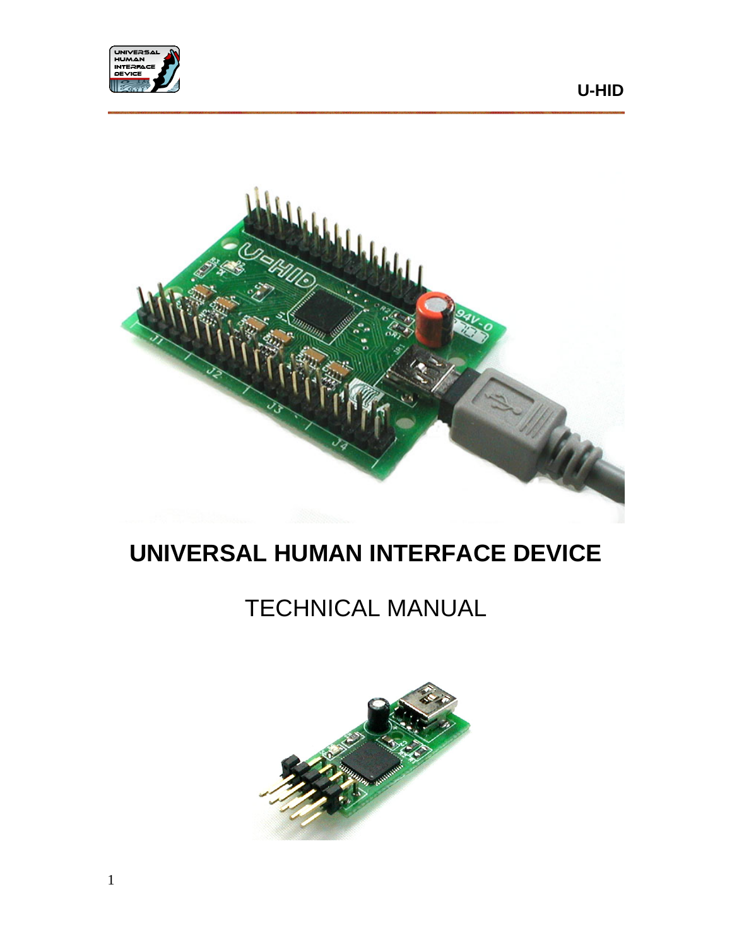



# **UNIVERSAL HUMAN INTERFACE DEVICE**

# TECHNICAL MANUAL

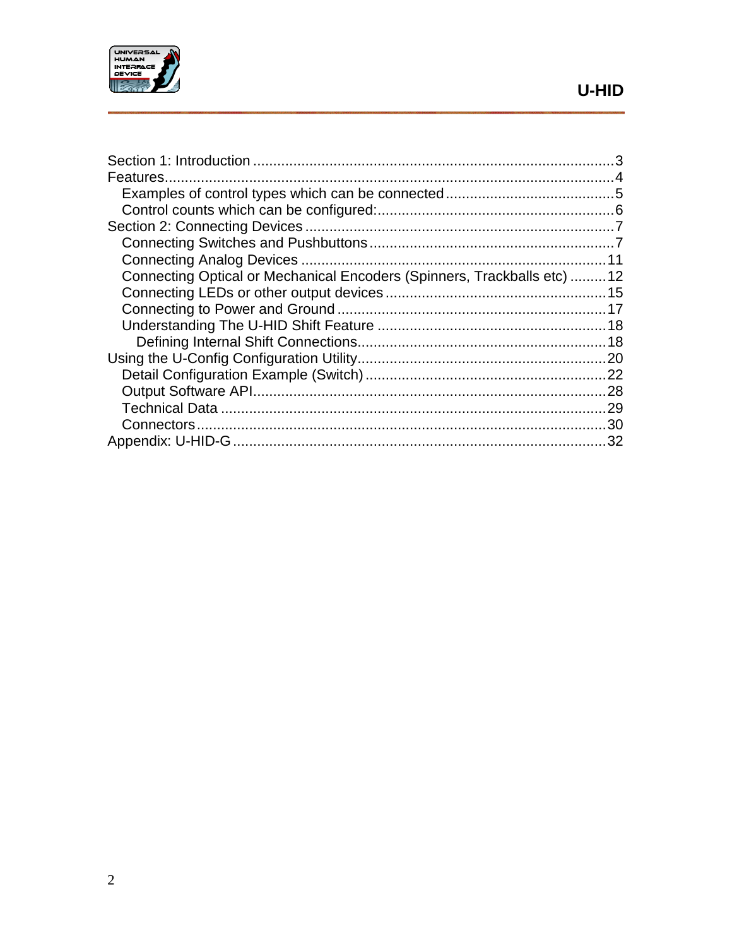

| Connecting Optical or Mechanical Encoders (Spinners, Trackballs etc) 12 |  |
|-------------------------------------------------------------------------|--|
|                                                                         |  |
|                                                                         |  |
|                                                                         |  |
|                                                                         |  |
|                                                                         |  |
|                                                                         |  |
|                                                                         |  |
|                                                                         |  |
|                                                                         |  |
|                                                                         |  |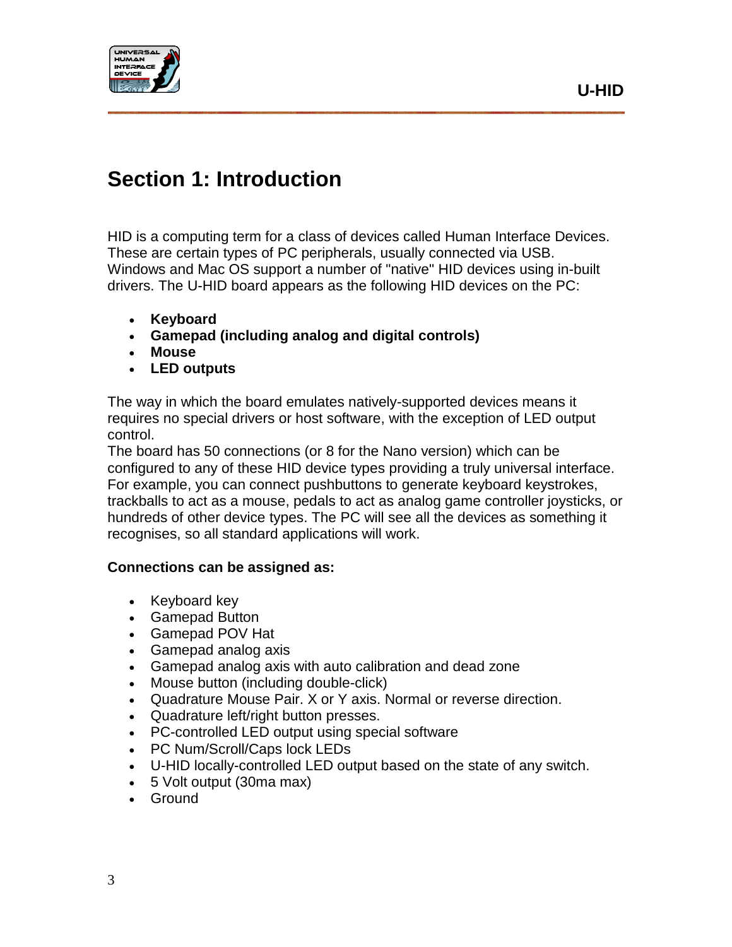



## <span id="page-2-0"></span>**Section 1: Introduction**

HID is a computing term for a class of devices called Human Interface Devices. These are certain types of PC peripherals, usually connected via USB. Windows and Mac OS support a number of "native" HID devices using in-built drivers. The U-HID board appears as the following HID devices on the PC:

- **Keyboard**
- **Gamepad (including analog and digital controls)**
- **Mouse**
- **LED outputs**

The way in which the board emulates natively-supported devices means it requires no special drivers or host software, with the exception of LED output control.

The board has 50 connections (or 8 for the Nano version) which can be configured to any of these HID device types providing a truly universal interface. For example, you can connect pushbuttons to generate keyboard keystrokes, trackballs to act as a mouse, pedals to act as analog game controller joysticks, or hundreds of other device types. The PC will see all the devices as something it recognises, so all standard applications will work.

#### **Connections can be assigned as:**

- Keyboard key
- Gamepad Button
- Gamepad POV Hat
- Gamepad analog axis
- Gamepad analog axis with auto calibration and dead zone
- Mouse button (including double-click)
- Quadrature Mouse Pair. X or Y axis. Normal or reverse direction.
- Quadrature left/right button presses.
- PC-controlled LED output using special software
- PC Num/Scroll/Caps lock LEDs
- U-HID locally-controlled LED output based on the state of any switch.
- 5 Volt output (30ma max)
- Ground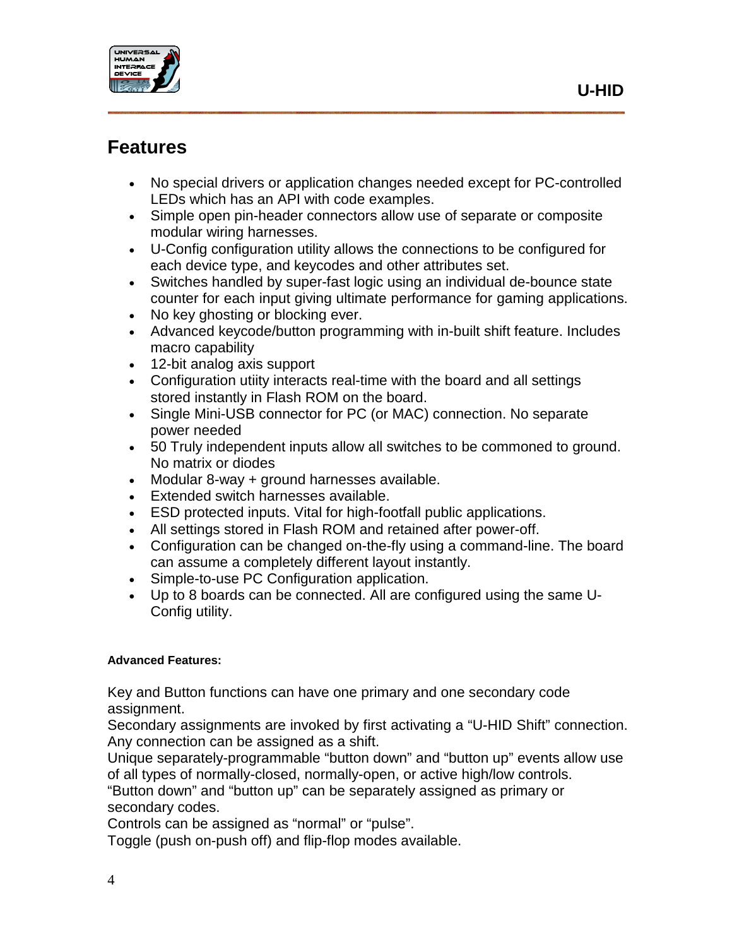

## <span id="page-3-0"></span>**Features**

- No special drivers or application changes needed except for PC-controlled LEDs which has an API with code examples.
- Simple open pin-header connectors allow use of separate or composite modular wiring harnesses.
- U-Config configuration utility allows the connections to be configured for each device type, and keycodes and other attributes set.
- Switches handled by super-fast logic using an individual de-bounce state counter for each input giving ultimate performance for gaming applications.
- No key ghosting or blocking ever.
- Advanced keycode/button programming with in-built shift feature. Includes macro capability
- 12-bit analog axis support
- Configuration utiity interacts real-time with the board and all settings stored instantly in Flash ROM on the board.
- Single Mini-USB connector for PC (or MAC) connection. No separate power needed
- 50 Truly independent inputs allow all switches to be commoned to ground. No matrix or diodes
- Modular 8-way + ground harnesses available.
- Extended switch harnesses available.
- ESD protected inputs. Vital for high-footfall public applications.
- All settings stored in Flash ROM and retained after power-off.
- Configuration can be changed on-the-fly using a command-line. The board can assume a completely different layout instantly.
- Simple-to-use PC Configuration application.
- Up to 8 boards can be connected. All are configured using the same U-Config utility.

#### **Advanced Features:**

Key and Button functions can have one primary and one secondary code assignment.

Secondary assignments are invoked by first activating a "U-HID Shift" connection. Any connection can be assigned as a shift.

Unique separately-programmable "button down" and "button up" events allow use of all types of normally-closed, normally-open, or active high/low controls.

"Button down" and "button up" can be separately assigned as primary or secondary codes.

Controls can be assigned as "normal" or "pulse".

Toggle (push on-push off) and flip-flop modes available.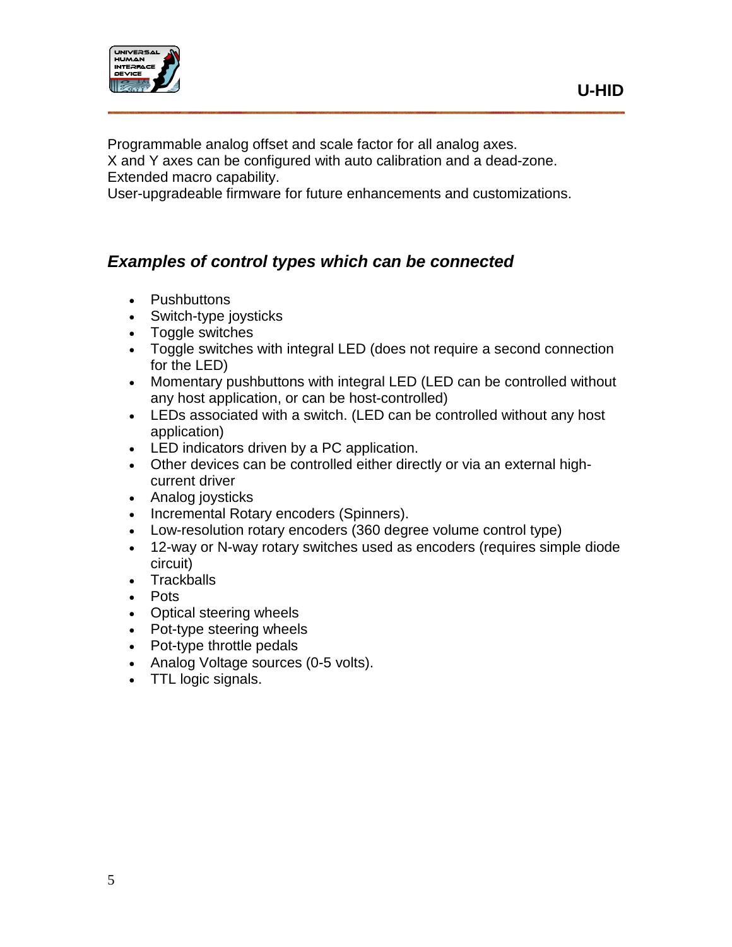

Programmable analog offset and scale factor for all analog axes.

X and Y axes can be configured with auto calibration and a dead-zone. Extended macro capability.

User-upgradeable firmware for future enhancements and customizations.

## <span id="page-4-0"></span>*Examples of control types which can be connected*

- Pushbuttons
- Switch-type joysticks
- Toggle switches
- Toggle switches with integral LED (does not require a second connection for the LED)
- Momentary pushbuttons with integral LED (LED can be controlled without any host application, or can be host-controlled)
- LEDs associated with a switch. (LED can be controlled without any host application)
- LED indicators driven by a PC application.
- Other devices can be controlled either directly or via an external highcurrent driver
- Analog joysticks
- Incremental Rotary encoders (Spinners).
- Low-resolution rotary encoders (360 degree volume control type)
- 12-way or N-way rotary switches used as encoders (requires simple diode circuit)
- Trackballs
- Pots
- Optical steering wheels
- Pot-type steering wheels
- Pot-type throttle pedals
- Analog Voltage sources (0-5 volts).
- TTL logic signals.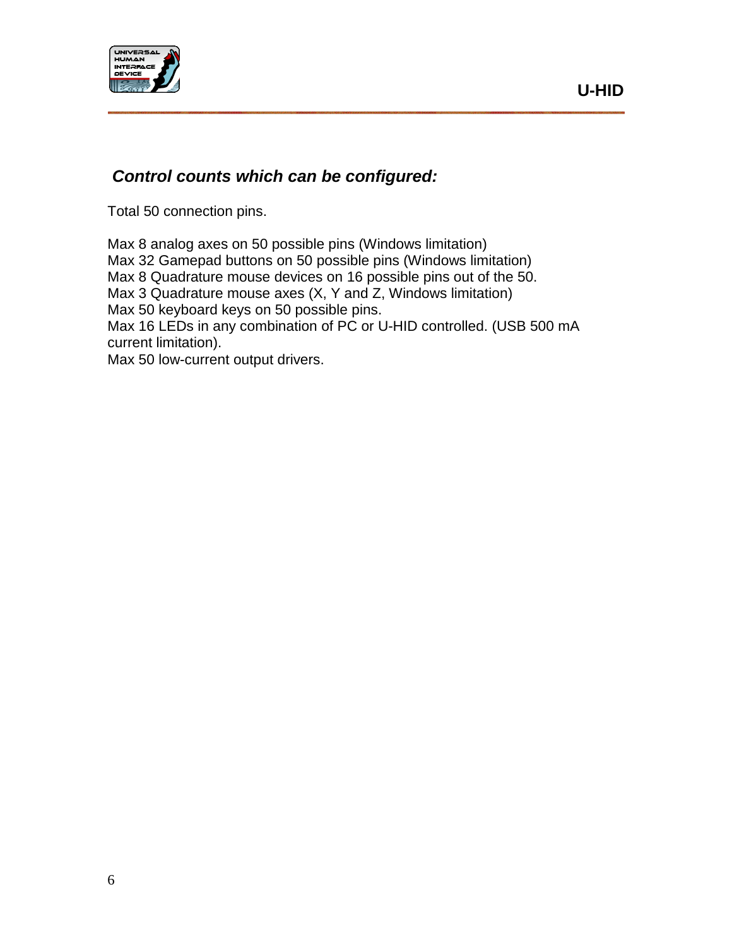

## <span id="page-5-0"></span>*Control counts which can be configured:*

Total 50 connection pins.

Max 8 analog axes on 50 possible pins (Windows limitation) Max 32 Gamepad buttons on 50 possible pins (Windows limitation) Max 8 Quadrature mouse devices on 16 possible pins out of the 50. Max 3 Quadrature mouse axes (X, Y and Z, Windows limitation) Max 50 keyboard keys on 50 possible pins. Max 16 LEDs in any combination of PC or U-HID controlled. (USB 500 mA current limitation). Max 50 low-current output drivers.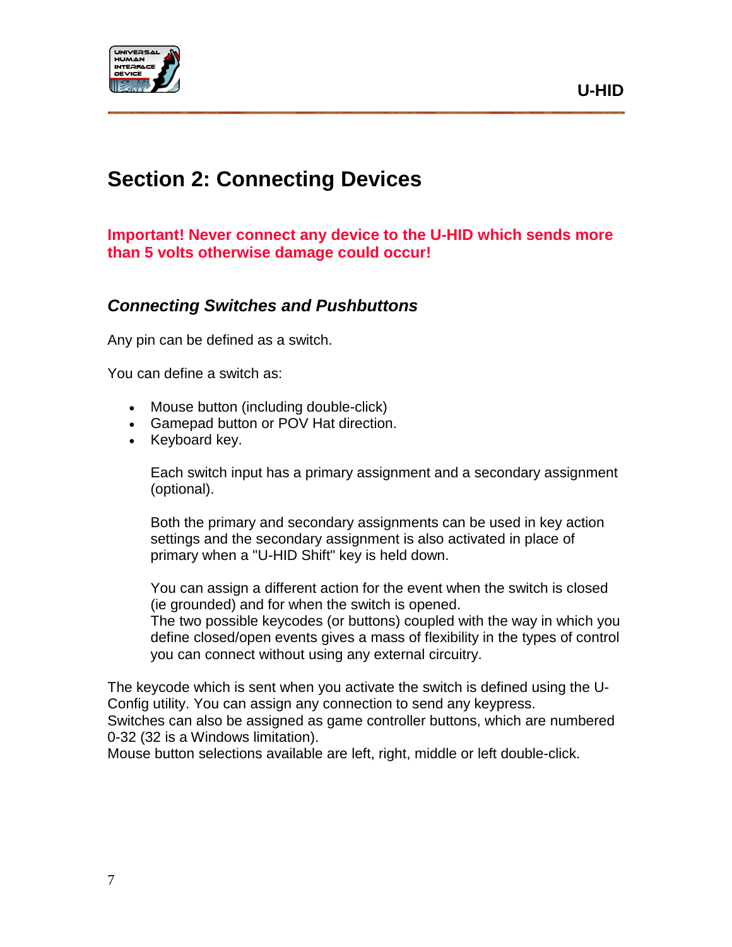

## <span id="page-6-0"></span>**Section 2: Connecting Devices**

#### **Important! Never connect any device to the U-HID which sends more than 5 volts otherwise damage could occur!**

## <span id="page-6-1"></span>*Connecting Switches and Pushbuttons*

Any pin can be defined as a switch.

You can define a switch as:

- Mouse button (including double-click)
- Gamepad button or POV Hat direction.
- Keyboard key.

Each switch input has a primary assignment and a secondary assignment (optional).

Both the primary and secondary assignments can be used in key action settings and the secondary assignment is also activated in place of primary when a "U-HID Shift" key is held down.

You can assign a different action for the event when the switch is closed (ie grounded) and for when the switch is opened.

The two possible keycodes (or buttons) coupled with the way in which you define closed/open events gives a mass of flexibility in the types of control you can connect without using any external circuitry.

The keycode which is sent when you activate the switch is defined using the U-Config utility. You can assign any connection to send any keypress. Switches can also be assigned as game controller buttons, which are numbered 0-32 (32 is a Windows limitation).

Mouse button selections available are left, right, middle or left double-click.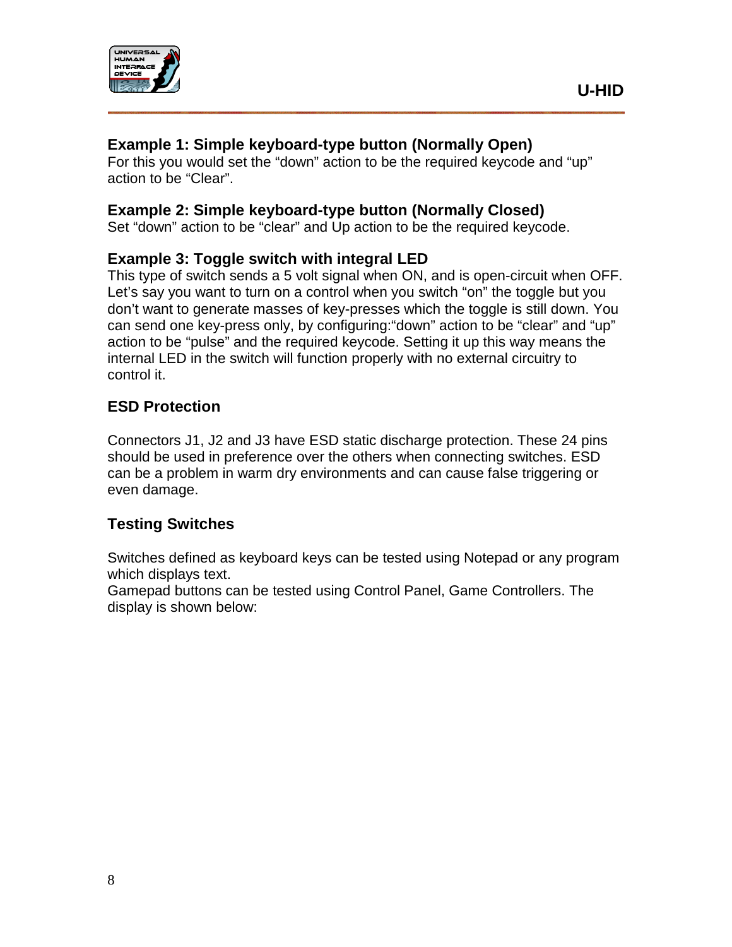

#### **Example 1: Simple keyboard-type button (Normally Open)**

For this you would set the "down" action to be the required keycode and "up" action to be "Clear".

#### **Example 2: Simple keyboard-type button (Normally Closed)**

Set "down" action to be "clear" and Up action to be the required keycode.

#### **Example 3: Toggle switch with integral LED**

This type of switch sends a 5 volt signal when ON, and is open-circuit when OFF. Let's say you want to turn on a control when you switch "on" the toggle but you don't want to generate masses of key-presses which the toggle is still down. You can send one key-press only, by configuring:"down" action to be "clear" and "up" action to be "pulse" and the required keycode. Setting it up this way means the internal LED in the switch will function properly with no external circuitry to control it.

#### **ESD Protection**

Connectors J1, J2 and J3 have ESD static discharge protection. These 24 pins should be used in preference over the others when connecting switches. ESD can be a problem in warm dry environments and can cause false triggering or even damage.

#### **Testing Switches**

Switches defined as keyboard keys can be tested using Notepad or any program which displays text.

Gamepad buttons can be tested using Control Panel, Game Controllers. The display is shown below: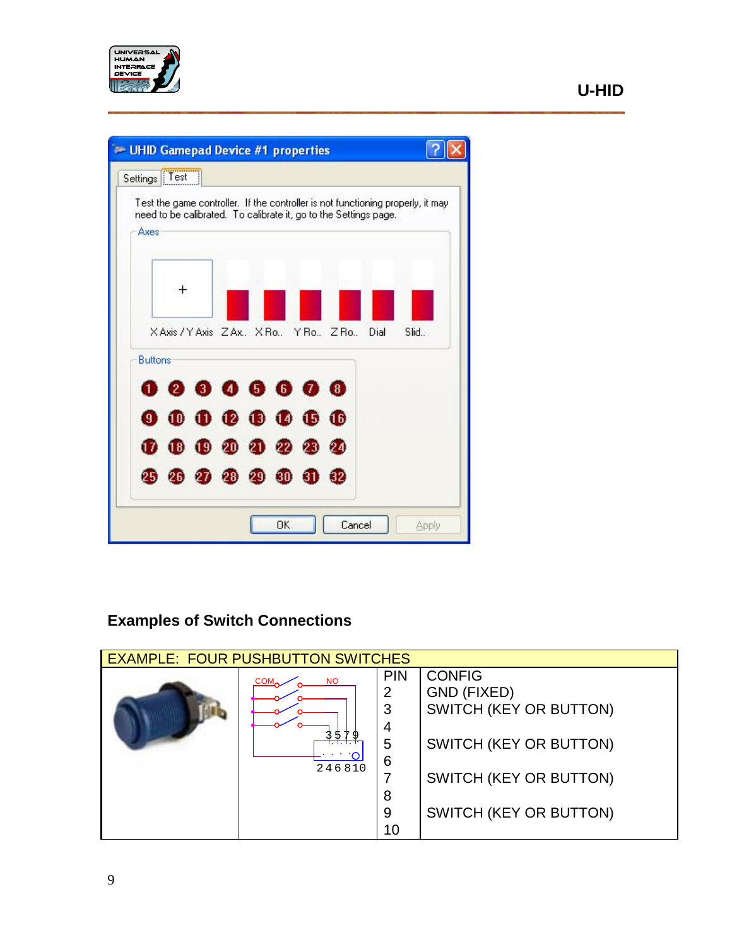



## **Examples of Switch Connections**

| <b>EXAMPLE: FOUR PUSHBUTTON SWITCHES</b> |                                         |                                                     |                                                                                                                                                    |
|------------------------------------------|-----------------------------------------|-----------------------------------------------------|----------------------------------------------------------------------------------------------------------------------------------------------------|
|                                          | <b>NO</b><br>COM <sub>2</sub><br>246810 | <b>PIN</b><br>2<br>3<br>4<br>5<br>6<br>8<br>9<br>10 | <b>CONFIG</b><br><b>GND (FIXED)</b><br>SWITCH (KEY OR BUTTON)<br>SWITCH (KEY OR BUTTON)<br>SWITCH (KEY OR BUTTON)<br><b>SWITCH (KEY OR BUTTON)</b> |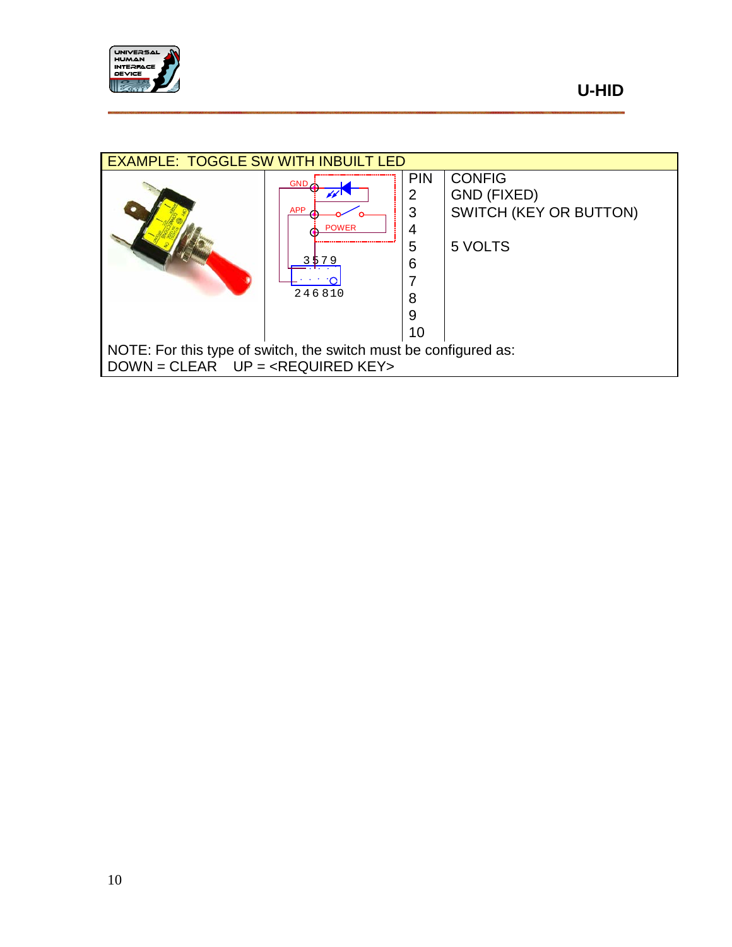

| <b>EXAMPLE: TOGGLE SW WITH INBUILT LED</b>                                                 |                                                                      |                                                     |                                                                          |
|--------------------------------------------------------------------------------------------|----------------------------------------------------------------------|-----------------------------------------------------|--------------------------------------------------------------------------|
|                                                                                            | $GND \nightharpoonup$<br><b>APP</b><br><b>POWER</b><br>579<br>246810 | <b>PIN</b><br>2<br>3<br>4<br>5<br>6<br>8<br>9<br>10 | <b>CONFIG</b><br><b>GND (FIXED)</b><br>SWITCH (KEY OR BUTTON)<br>5 VOLTS |
| NOTE: For this type of switch, the switch must be configured as:<br>$DOWN = CLEAR$ $UP = $ |                                                                      |                                                     |                                                                          |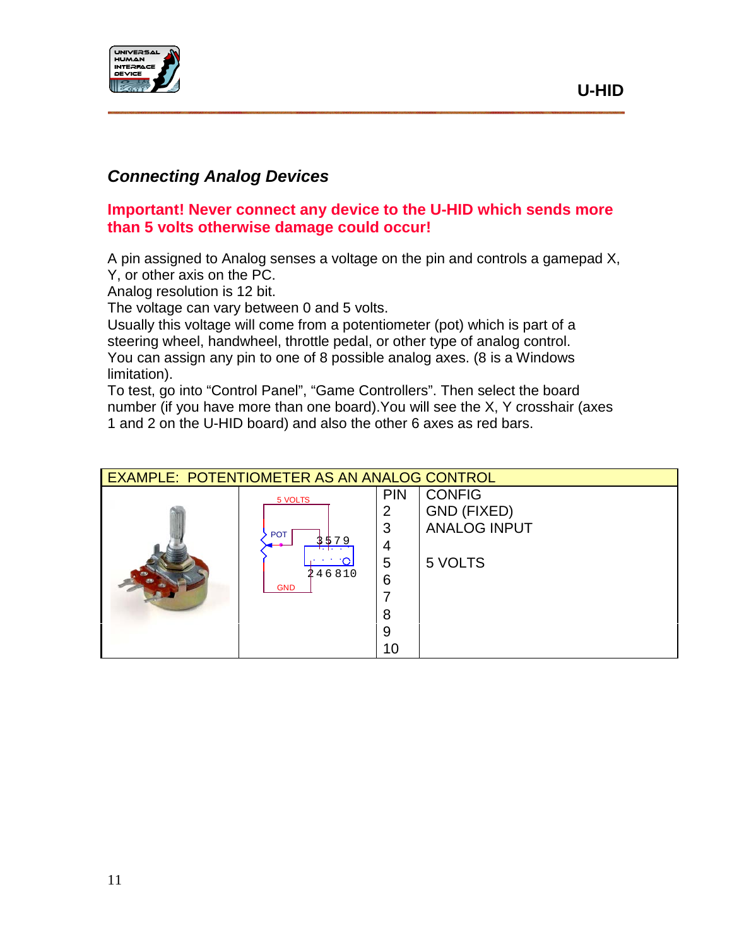

## <span id="page-10-0"></span>*Connecting Analog Devices*

#### **Important! Never connect any device to the U-HID which sends more than 5 volts otherwise damage could occur!**

A pin assigned to Analog senses a voltage on the pin and controls a gamepad X, Y, or other axis on the PC.

Analog resolution is 12 bit.

The voltage can vary between 0 and 5 volts.

Usually this voltage will come from a potentiometer (pot) which is part of a steering wheel, handwheel, throttle pedal, or other type of analog control. You can assign any pin to one of 8 possible analog axes. (8 is a Windows limitation).

To test, go into "Control Panel", "Game Controllers". Then select the board number (if you have more than one board).You will see the X, Y crosshair (axes 1 and 2 on the U-HID board) and also the other 6 axes as red bars.

| EXAMPLE: POTENTIOMETER AS AN ANALOG CONTROL |            |            |                     |
|---------------------------------------------|------------|------------|---------------------|
|                                             | 5 VOLTS    | <b>PIN</b> | <b>CONFIG</b>       |
|                                             |            | 2          | GND (FIXED)         |
|                                             | <b>POT</b> | 3          | <b>ANALOG INPUT</b> |
|                                             | \$79       | 4          |                     |
|                                             |            | 5          | 5 VOLTS             |
|                                             | 246810     | 6          |                     |
|                                             | <b>GND</b> |            |                     |
|                                             |            | 8          |                     |
|                                             |            | 9          |                     |
|                                             |            | 10         |                     |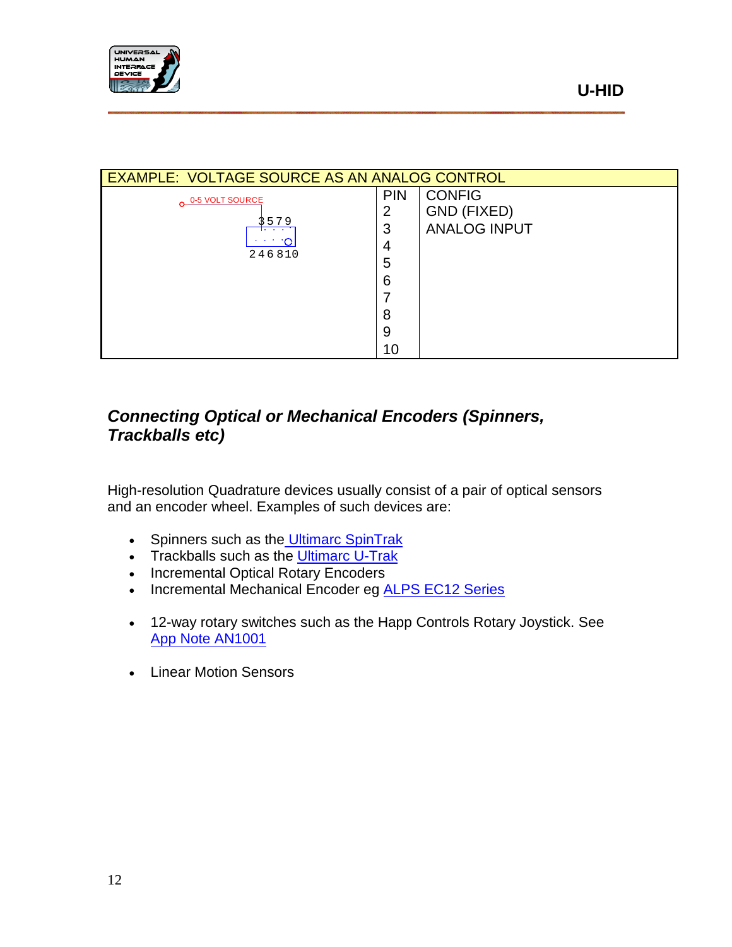

|                 | EXAMPLE: VOLTAGE SOURCE AS AN ANALOG CONTROL |                     |  |  |
|-----------------|----------------------------------------------|---------------------|--|--|
| 0-5 VOLT SOURCE | <b>PIN</b>                                   | <b>CONFIG</b>       |  |  |
|                 | 2                                            | GND (FIXED)         |  |  |
| 579             | 3                                            | <b>ANALOG INPUT</b> |  |  |
|                 | 4                                            |                     |  |  |
| 246810          | 5                                            |                     |  |  |
|                 | 6                                            |                     |  |  |
|                 |                                              |                     |  |  |
|                 | 8                                            |                     |  |  |
|                 | 9                                            |                     |  |  |

10

## <span id="page-11-0"></span>*Connecting Optical or Mechanical Encoders (Spinners, Trackballs etc)*

High-resolution Quadrature devices usually consist of a pair of optical sensors and an encoder wheel. Examples of such devices are:

- Spinners such as the [Ultimarc SpinTrak](http://www.ultimarc.com/SpinTrak.htm)
- Trackballs such as the [Ultimarc U-Trak](http://www.ultimarc.com/trackball.html)
- Incremental Optical Rotary Encoders
- Incremental Mechanical Encoder eg **ALPS EC12 Series**
- 12-way rotary switches such as the Happ Controls Rotary Joystick. See [App Note AN1001](http://www.u-hid.com/appnotes/AN1001.pdf)
- Linear Motion Sensors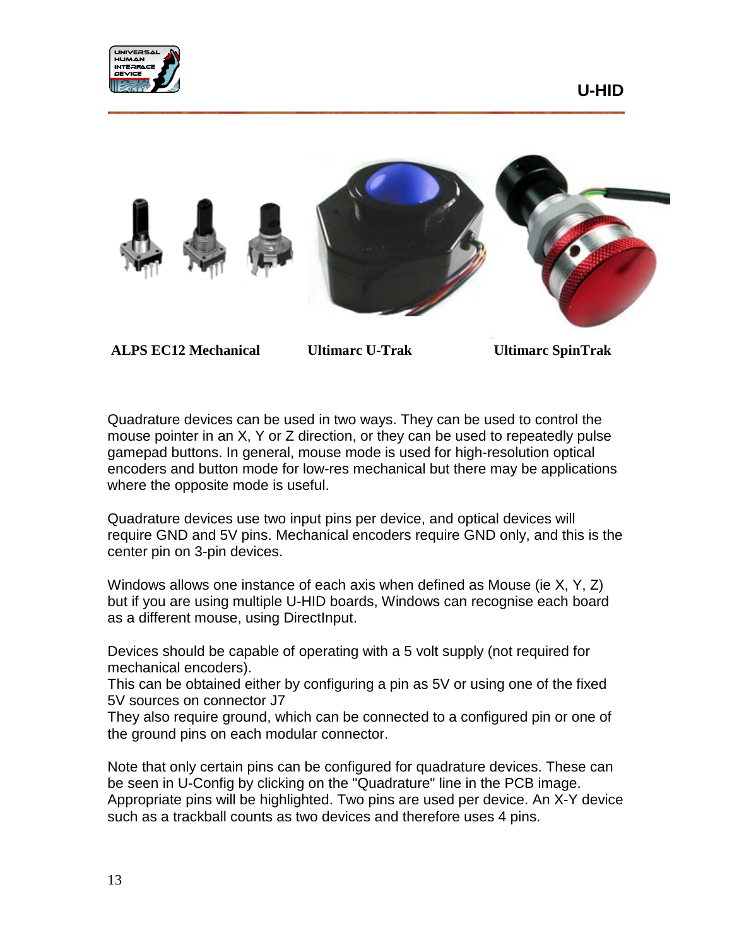



**ALPS EC12 Mechanical Ultimarc U-Trak Ultimarc SpinTrak**

Quadrature devices can be used in two ways. They can be used to control the mouse pointer in an X, Y or Z direction, or they can be used to repeatedly pulse gamepad buttons. In general, mouse mode is used for high-resolution optical encoders and button mode for low-res mechanical but there may be applications where the opposite mode is useful.

Quadrature devices use two input pins per device, and optical devices will require GND and 5V pins. Mechanical encoders require GND only, and this is the center pin on 3-pin devices.

Windows allows one instance of each axis when defined as Mouse (ie X, Y, Z) but if you are using multiple U-HID boards, Windows can recognise each board as a different mouse, using DirectInput.

Devices should be capable of operating with a 5 volt supply (not required for mechanical encoders).

This can be obtained either by configuring a pin as 5V or using one of the fixed 5V sources on connector J7

They also require ground, which can be connected to a configured pin or one of the ground pins on each modular connector.

Note that only certain pins can be configured for quadrature devices. These can be seen in U-Config by clicking on the "Quadrature" line in the PCB image. Appropriate pins will be highlighted. Two pins are used per device. An X-Y device such as a trackball counts as two devices and therefore uses 4 pins.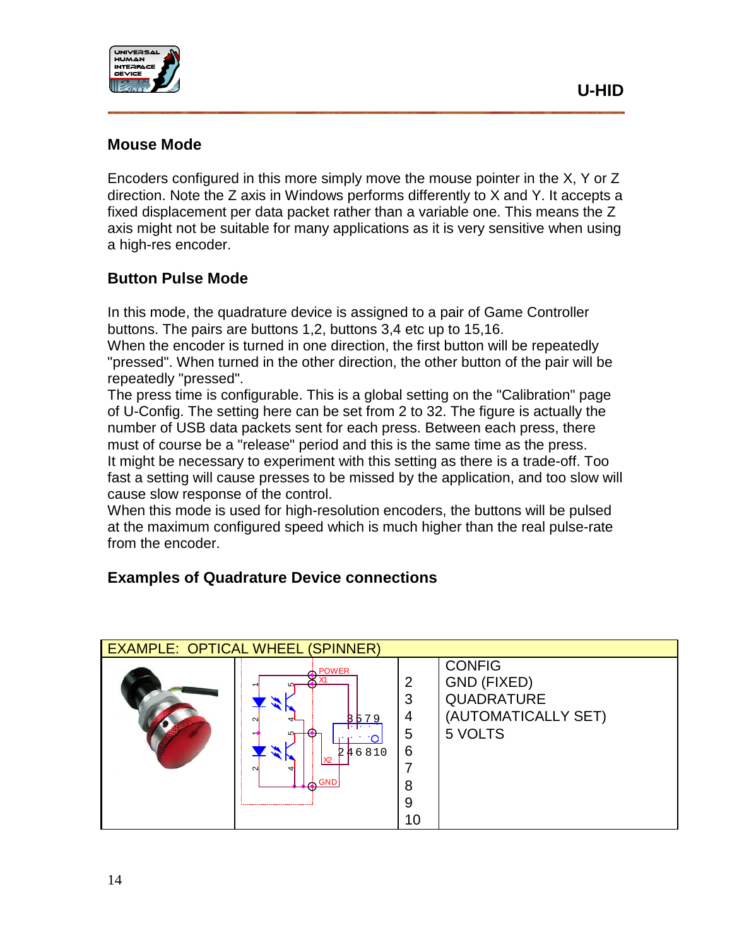

#### **Mouse Mode**

Encoders configured in this more simply move the mouse pointer in the X, Y or Z direction. Note the Z axis in Windows performs differently to X and Y. It accepts a fixed displacement per data packet rather than a variable one. This means the Z axis might not be suitable for many applications as it is very sensitive when using a high-res encoder.

#### **Button Pulse Mode**

In this mode, the quadrature device is assigned to a pair of Game Controller buttons. The pairs are buttons 1,2, buttons 3,4 etc up to 15,16.

When the encoder is turned in one direction, the first button will be repeatedly "pressed". When turned in the other direction, the other button of the pair will be repeatedly "pressed".

The press time is configurable. This is a global setting on the "Calibration" page of U-Config. The setting here can be set from 2 to 32. The figure is actually the number of USB data packets sent for each press. Between each press, there must of course be a "release" period and this is the same time as the press. It might be necessary to experiment with this setting as there is a trade-off. Too fast a setting will cause presses to be missed by the application, and too slow will cause slow response of the control.

When this mode is used for high-resolution encoders, the buttons will be pulsed at the maximum configured speed which is much higher than the real pulse-rate from the encoder.

#### **Examples of Quadrature Device connections**

| <b>EXAMPLE: OPTICAL WHEEL (SPINNER)</b> |                                                                           |                                       |                                                                              |
|-----------------------------------------|---------------------------------------------------------------------------|---------------------------------------|------------------------------------------------------------------------------|
|                                         | <b>POWER</b><br>w<br>79<br>RБ<br>↤<br>246810<br>w<br>X2<br><b>GND</b><br> | 2<br>3<br>4<br>5<br>6<br>8<br>9<br>10 | <b>CONFIG</b><br>GND (FIXED)<br>QUADRATURE<br>(AUTOMATICALLY SET)<br>5 VOLTS |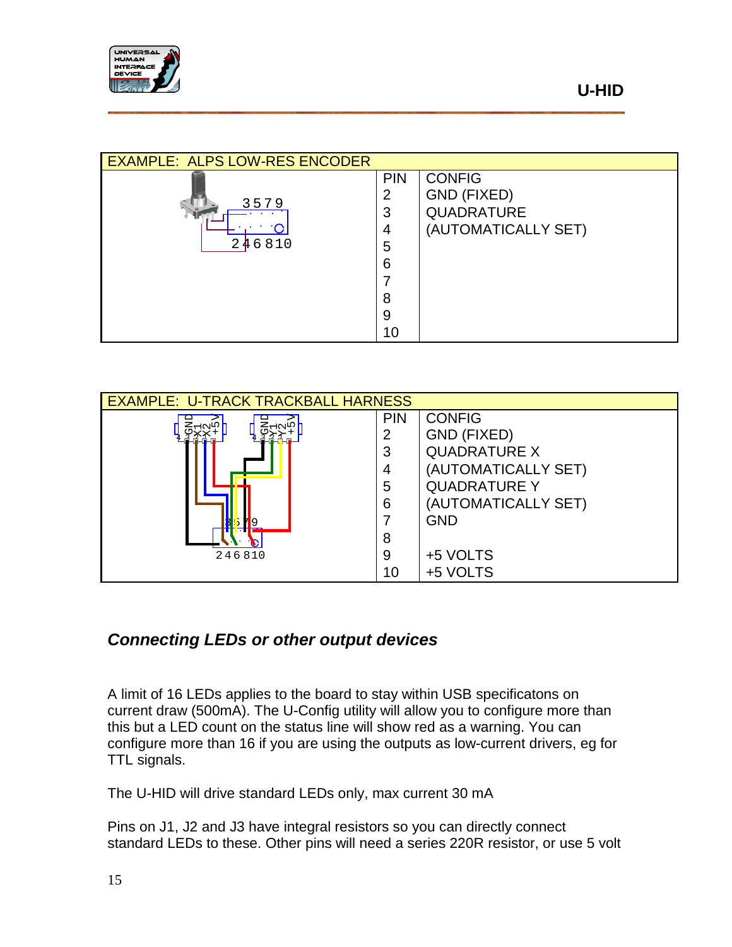

| <b>EXAMPLE: ALPS LOW-RES ENCODER</b> |            |                     |
|--------------------------------------|------------|---------------------|
|                                      | <b>PIN</b> | <b>CONFIG</b>       |
| 3579                                 | 2          | GND (FIXED)         |
|                                      | 3          | <b>QUADRATURE</b>   |
|                                      | 4          | (AUTOMATICALLY SET) |
| 246810                               | 5          |                     |
|                                      | 6          |                     |
|                                      |            |                     |
|                                      | 8          |                     |
|                                      | 9          |                     |
|                                      | 10         |                     |

| <b>EXAMPLE: U-TRACK TRACKBALL HARNESS</b> |            |                     |  |
|-------------------------------------------|------------|---------------------|--|
|                                           | <b>PIN</b> | <b>CONFIG</b>       |  |
|                                           | 2          | <b>GND (FIXED)</b>  |  |
|                                           | 3          | <b>QUADRATURE X</b> |  |
|                                           | 4          | (AUTOMATICALLY SET) |  |
|                                           | 5          | <b>QUADRATURE Y</b> |  |
|                                           | 6          | (AUTOMATICALLY SET) |  |
|                                           |            | <b>GND</b>          |  |
|                                           | 8          |                     |  |
| 246810                                    | 9          | +5 VOLTS            |  |
|                                           | 10         | +5 VOLTS            |  |

## <span id="page-14-0"></span>*Connecting LEDs or other output devices*

A limit of 16 LEDs applies to the board to stay within USB specificatons on current draw (500mA). The U-Config utility will allow you to configure more than this but a LED count on the status line will show red as a warning. You can configure more than 16 if you are using the outputs as low-current drivers, eg for TTL signals.

The U-HID will drive standard LEDs only, max current 30 mA

Pins on J1, J2 and J3 have integral resistors so you can directly connect standard LEDs to these. Other pins will need a series 220R resistor, or use 5 volt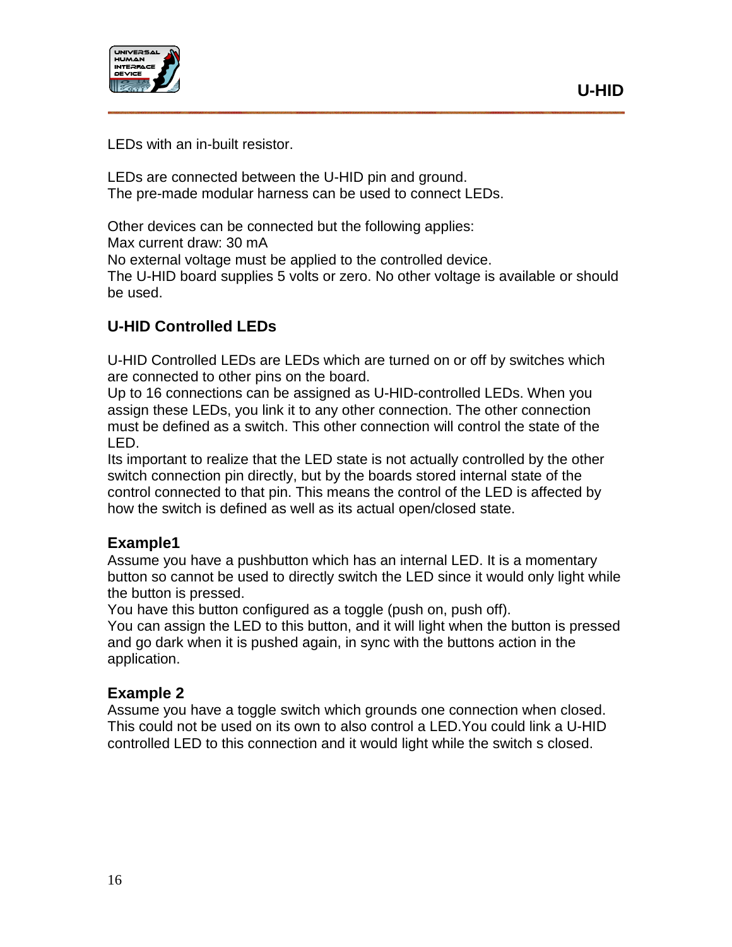

LEDs with an in-built resistor.

LEDs are connected between the U-HID pin and ground. The pre-made modular harness can be used to connect LEDs.

Other devices can be connected but the following applies:

Max current draw: 30 mA

No external voltage must be applied to the controlled device.

The U-HID board supplies 5 volts or zero. No other voltage is available or should be used.

### **U-HID Controlled LEDs**

U-HID Controlled LEDs are LEDs which are turned on or off by switches which are connected to other pins on the board.

Up to 16 connections can be assigned as U-HID-controlled LEDs. When you assign these LEDs, you link it to any other connection. The other connection must be defined as a switch. This other connection will control the state of the LED.

Its important to realize that the LED state is not actually controlled by the other switch connection pin directly, but by the boards stored internal state of the control connected to that pin. This means the control of the LED is affected by how the switch is defined as well as its actual open/closed state.

#### **Example1**

Assume you have a pushbutton which has an internal LED. It is a momentary button so cannot be used to directly switch the LED since it would only light while the button is pressed.

You have this button configured as a toggle (push on, push off).

You can assign the LED to this button, and it will light when the button is pressed and go dark when it is pushed again, in sync with the buttons action in the application.

#### **Example 2**

Assume you have a toggle switch which grounds one connection when closed. This could not be used on its own to also control a LED.You could link a U-HID controlled LED to this connection and it would light while the switch s closed.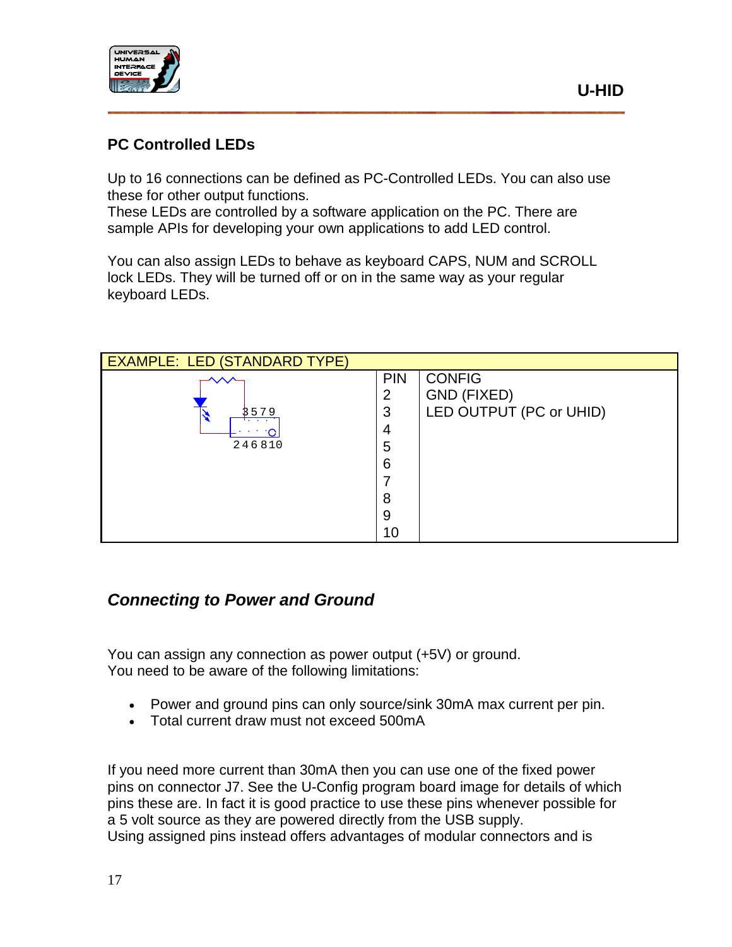

#### **PC Controlled LEDs**

Up to 16 connections can be defined as PC-Controlled LEDs. You can also use these for other output functions.

These LEDs are controlled by a software application on the PC. There are sample APIs for developing your own applications to add LED control.

You can also assign LEDs to behave as keyboard CAPS, NUM and SCROLL lock LEDs. They will be turned off or on in the same way as your regular keyboard LEDs.



## <span id="page-16-0"></span>*Connecting to Power and Ground*

You can assign any connection as power output (+5V) or ground. You need to be aware of the following limitations:

- Power and ground pins can only source/sink 30mA max current per pin.
- Total current draw must not exceed 500mA

If you need more current than 30mA then you can use one of the fixed power pins on connector J7. See the U-Config program board image for details of which pins these are. In fact it is good practice to use these pins whenever possible for a 5 volt source as they are powered directly from the USB supply. Using assigned pins instead offers advantages of modular connectors and is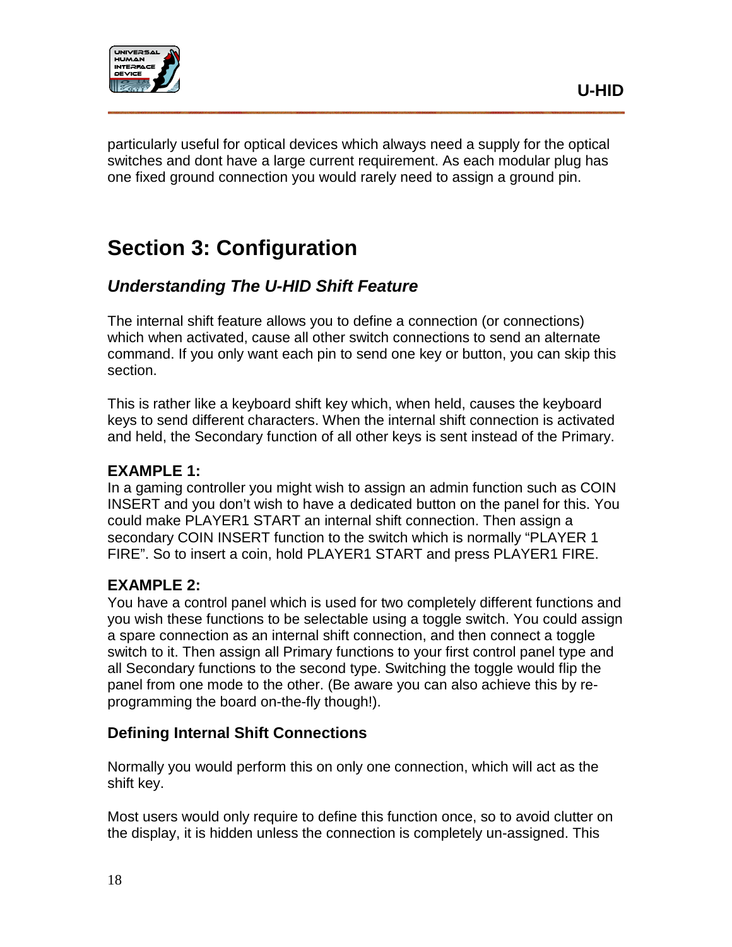

particularly useful for optical devices which always need a supply for the optical switches and dont have a large current requirement. As each modular plug has one fixed ground connection you would rarely need to assign a ground pin.

## **Section 3: Configuration**

## <span id="page-17-0"></span>*Understanding The U-HID Shift Feature*

The internal shift feature allows you to define a connection (or connections) which when activated, cause all other switch connections to send an alternate command. If you only want each pin to send one key or button, you can skip this section.

This is rather like a keyboard shift key which, when held, causes the keyboard keys to send different characters. When the internal shift connection is activated and held, the Secondary function of all other keys is sent instead of the Primary.

#### **EXAMPLE 1:**

In a gaming controller you might wish to assign an admin function such as COIN INSERT and you don't wish to have a dedicated button on the panel for this. You could make PLAYER1 START an internal shift connection. Then assign a secondary COIN INSERT function to the switch which is normally "PLAYER 1 FIRE". So to insert a coin, hold PLAYER1 START and press PLAYER1 FIRE.

#### **EXAMPLE 2:**

You have a control panel which is used for two completely different functions and you wish these functions to be selectable using a toggle switch. You could assign a spare connection as an internal shift connection, and then connect a toggle switch to it. Then assign all Primary functions to your first control panel type and all Secondary functions to the second type. Switching the toggle would flip the panel from one mode to the other. (Be aware you can also achieve this by reprogramming the board on-the-fly though!).

#### <span id="page-17-1"></span>**Defining Internal Shift Connections**

Normally you would perform this on only one connection, which will act as the shift key.

Most users would only require to define this function once, so to avoid clutter on the display, it is hidden unless the connection is completely un-assigned. This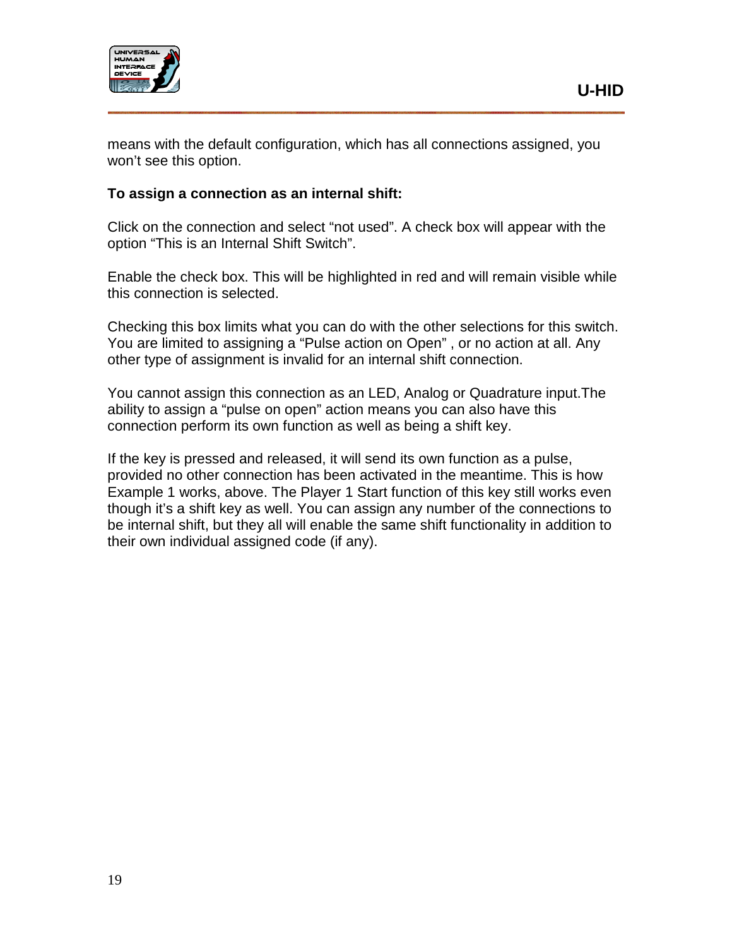

means with the default configuration, which has all connections assigned, you won't see this option.

#### **To assign a connection as an internal shift:**

Click on the connection and select "not used". A check box will appear with the option "This is an Internal Shift Switch".

Enable the check box. This will be highlighted in red and will remain visible while this connection is selected.

Checking this box limits what you can do with the other selections for this switch. You are limited to assigning a "Pulse action on Open" , or no action at all. Any other type of assignment is invalid for an internal shift connection.

You cannot assign this connection as an LED, Analog or Quadrature input.The ability to assign a "pulse on open" action means you can also have this connection perform its own function as well as being a shift key.

If the key is pressed and released, it will send its own function as a pulse, provided no other connection has been activated in the meantime. This is how Example 1 works, above. The Player 1 Start function of this key still works even though it's a shift key as well. You can assign any number of the connections to be internal shift, but they all will enable the same shift functionality in addition to their own individual assigned code (if any).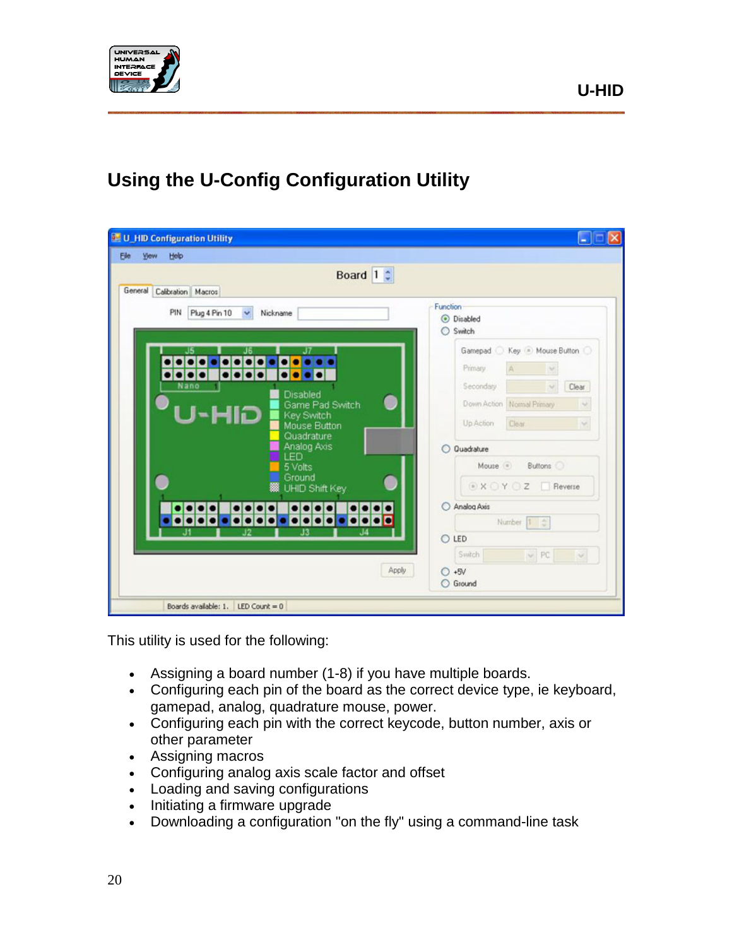

## <span id="page-19-0"></span>**Using the U-Config Configuration Utility**

| Board $1$ $\degree$                                                      |                                      |
|--------------------------------------------------------------------------|--------------------------------------|
| General Calibration Macros                                               |                                      |
| PIN<br>Plug 4 Pin 10<br>Nickname<br>$\mathbf{v}$                         | Function<br><b>O</b> Disabled        |
|                                                                          | Switch                               |
| J6                                                                       | Gamepad C Key Mouse Button C         |
| 666                                                                      | Primary<br>$\mathcal{A}$             |
| $\bullet\bullet\bullet\bullet$<br>$\bullet\bullet\bullet\bullet$<br>Nano | Secondary<br>Clear<br>W)             |
| Disabled<br>Game Pad Switch                                              | Down Action Normal Primary<br>$\sim$ |
| U-HID<br>Key Switch                                                      |                                      |
| Mouse Button<br>Quadrature                                               | Clear<br>Up Action<br><b>IN</b>      |
| Analog Axis                                                              | O Quadrature                         |
| LED<br>5 Volts                                                           | Mouse . Buttons                      |
| Ground<br><b>88</b> UHID Shift Key                                       | ■ X O Y O Z Fleverse                 |
|                                                                          | Analog Axis                          |
|                                                                          | Number 1 0                           |
|                                                                          | O LED                                |
|                                                                          | Switch<br>$~\vee$ PC<br>$\sim$       |
| Apply                                                                    | $O + SV$                             |

This utility is used for the following:

- Assigning a board number (1-8) if you have multiple boards.
- Configuring each pin of the board as the correct device type, ie keyboard, gamepad, analog, quadrature mouse, power.
- Configuring each pin with the correct keycode, button number, axis or other parameter
- Assigning macros
- Configuring analog axis scale factor and offset
- Loading and saving configurations
- Initiating a firmware upgrade
- Downloading a configuration "on the fly" using a command-line task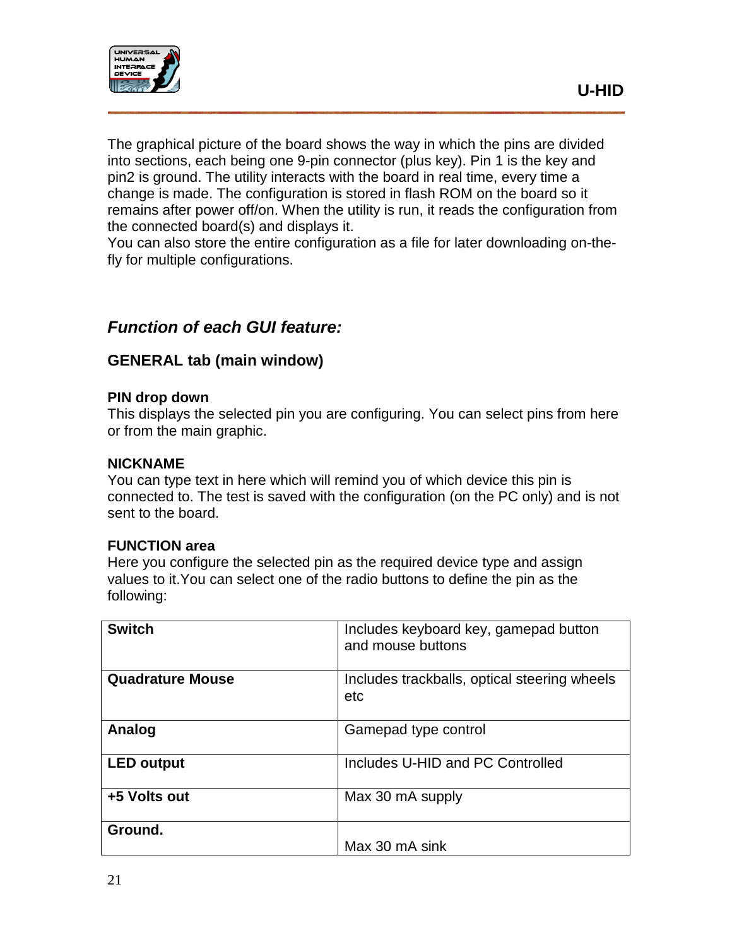

The graphical picture of the board shows the way in which the pins are divided into sections, each being one 9-pin connector (plus key). Pin 1 is the key and pin2 is ground. The utility interacts with the board in real time, every time a change is made. The configuration is stored in flash ROM on the board so it remains after power off/on. When the utility is run, it reads the configuration from the connected board(s) and displays it.

You can also store the entire configuration as a file for later downloading on-thefly for multiple configurations.

## *Function of each GUI feature:*

#### **GENERAL tab (main window)**

#### **PIN drop down**

This displays the selected pin you are configuring. You can select pins from here or from the main graphic.

#### **NICKNAME**

You can type text in here which will remind you of which device this pin is connected to. The test is saved with the configuration (on the PC only) and is not sent to the board.

#### **FUNCTION area**

Here you configure the selected pin as the required device type and assign values to it.You can select one of the radio buttons to define the pin as the following:

| <b>Switch</b>     | Includes keyboard key, gamepad button<br>and mouse buttons |
|-------------------|------------------------------------------------------------|
| Quadrature Mouse  | Includes trackballs, optical steering wheels<br>etc        |
| Analog            | Gamepad type control                                       |
| <b>LED output</b> | Includes U-HID and PC Controlled                           |
| +5 Volts out      | Max 30 mA supply                                           |
| Ground.           | Max 30 mA sink                                             |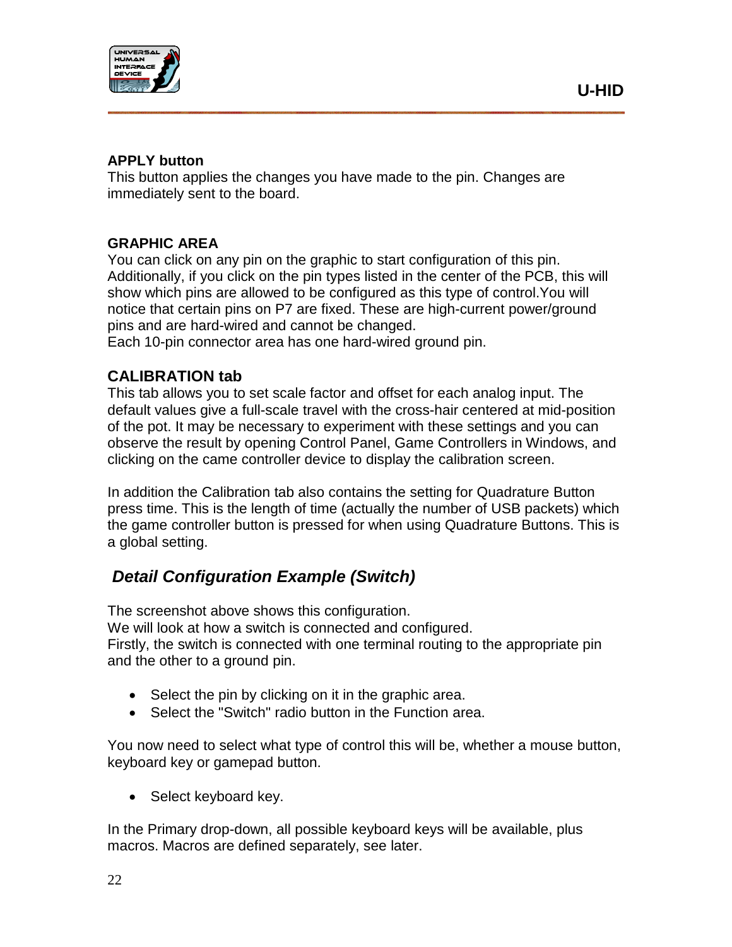

#### **APPLY button**

This button applies the changes you have made to the pin. Changes are immediately sent to the board.

#### **GRAPHIC AREA**

You can click on any pin on the graphic to start configuration of this pin. Additionally, if you click on the pin types listed in the center of the PCB, this will show which pins are allowed to be configured as this type of control.You will notice that certain pins on P7 are fixed. These are high-current power/ground pins and are hard-wired and cannot be changed.

Each 10-pin connector area has one hard-wired ground pin.

#### **CALIBRATION tab**

This tab allows you to set scale factor and offset for each analog input. The default values give a full-scale travel with the cross-hair centered at mid-position of the pot. It may be necessary to experiment with these settings and you can observe the result by opening Control Panel, Game Controllers in Windows, and clicking on the came controller device to display the calibration screen.

In addition the Calibration tab also contains the setting for Quadrature Button press time. This is the length of time (actually the number of USB packets) which the game controller button is pressed for when using Quadrature Buttons. This is a global setting.

## <span id="page-21-0"></span>*Detail Configuration Example (Switch)*

The screenshot above shows this configuration. We will look at how a switch is connected and configured. Firstly, the switch is connected with one terminal routing to the appropriate pin and the other to a ground pin.

- Select the pin by clicking on it in the graphic area.
- Select the "Switch" radio button in the Function area.

You now need to select what type of control this will be, whether a mouse button, keyboard key or gamepad button.

• Select keyboard key.

In the Primary drop-down, all possible keyboard keys will be available, plus macros. Macros are defined separately, see later.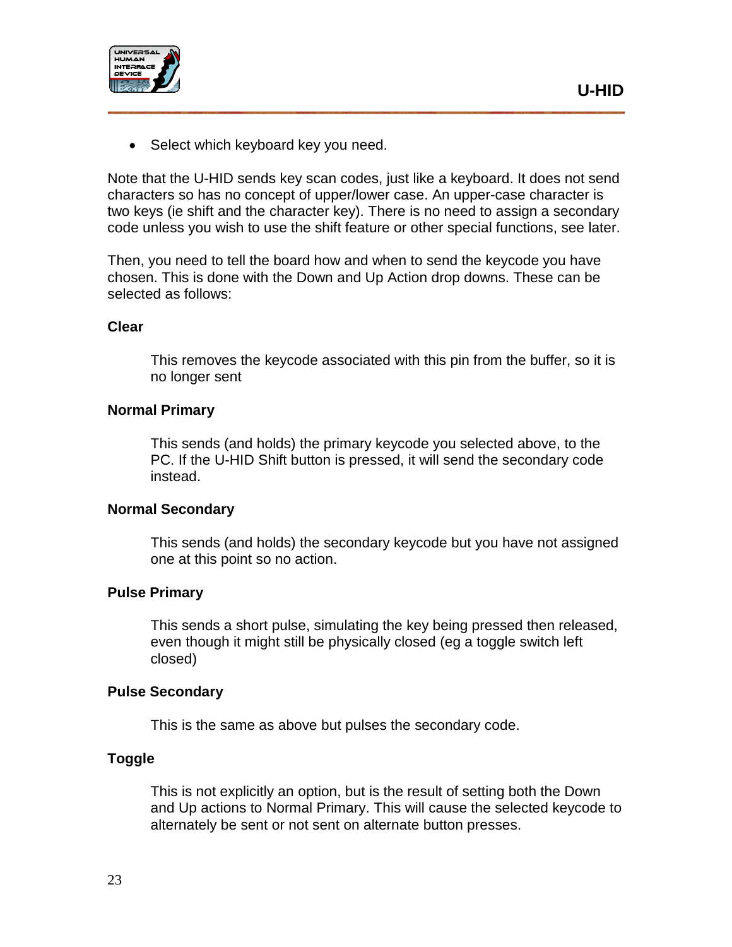



• Select which keyboard key you need.

Note that the U-HID sends key scan codes, just like a keyboard. It does not send characters so has no concept of upper/lower case. An upper-case character is two keys (ie shift and the character key). There is no need to assign a secondary code unless you wish to use the shift feature or other special functions, see later.

Then, you need to tell the board how and when to send the keycode you have chosen. This is done with the Down and Up Action drop downs. These can be selected as follows:

#### **Clear**

This removes the keycode associated with this pin from the buffer, so it is no longer sent

#### **Normal Primary**

This sends (and holds) the primary keycode you selected above, to the PC. If the U-HID Shift button is pressed, it will send the secondary code instead.

#### **Normal Secondary**

This sends (and holds) the secondary keycode but you have not assigned one at this point so no action.

#### **Pulse Primary**

This sends a short pulse, simulating the key being pressed then released, even though it might still be physically closed (eg a toggle switch left closed)

#### **Pulse Secondary**

This is the same as above but pulses the secondary code.

#### **Toggle**

This is not explicitly an option, but is the result of setting both the Down and Up actions to Normal Primary. This will cause the selected keycode to alternately be sent or not sent on alternate button presses.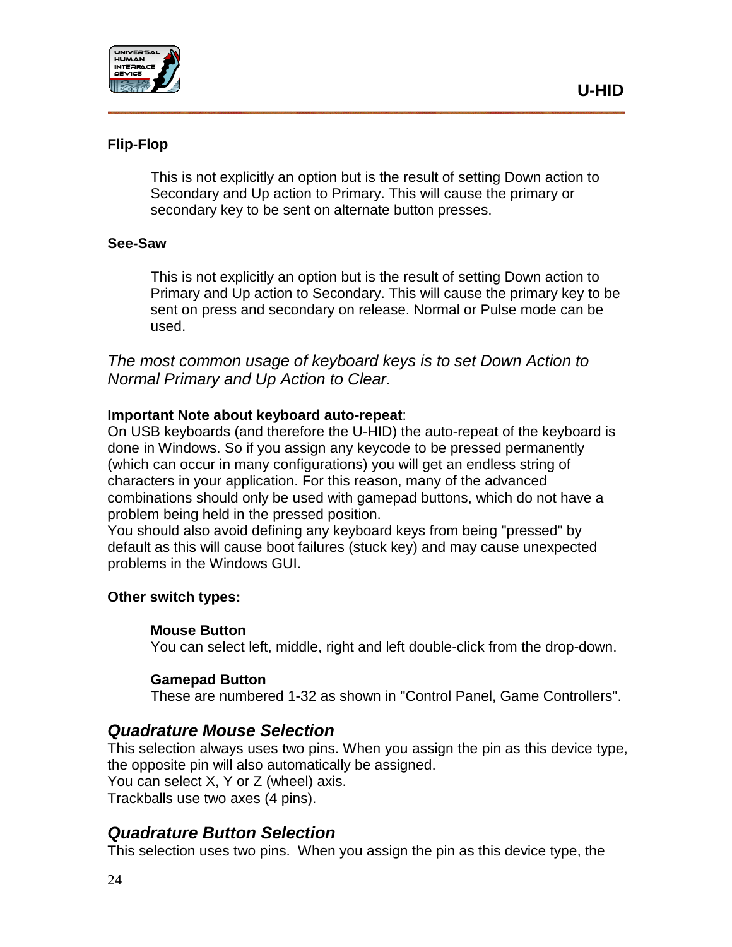



#### **Flip-Flop**

This is not explicitly an option but is the result of setting Down action to Secondary and Up action to Primary. This will cause the primary or secondary key to be sent on alternate button presses.

#### **See-Saw**

This is not explicitly an option but is the result of setting Down action to Primary and Up action to Secondary. This will cause the primary key to be sent on press and secondary on release. Normal or Pulse mode can be used.

*The most common usage of keyboard keys is to set Down Action to Normal Primary and Up Action to Clear.*

#### **Important Note about keyboard auto-repeat**:

On USB keyboards (and therefore the U-HID) the auto-repeat of the keyboard is done in Windows. So if you assign any keycode to be pressed permanently (which can occur in many configurations) you will get an endless string of characters in your application. For this reason, many of the advanced combinations should only be used with gamepad buttons, which do not have a problem being held in the pressed position.

You should also avoid defining any keyboard keys from being "pressed" by default as this will cause boot failures (stuck key) and may cause unexpected problems in the Windows GUI.

#### **Other switch types:**

#### **Mouse Button**

You can select left, middle, right and left double-click from the drop-down.

#### **Gamepad Button**

These are numbered 1-32 as shown in "Control Panel, Game Controllers".

#### *Quadrature Mouse Selection*

This selection always uses two pins. When you assign the pin as this device type, the opposite pin will also automatically be assigned. You can select X, Y or Z (wheel) axis. Trackballs use two axes (4 pins).

#### *Quadrature Button Selection*

This selection uses two pins. When you assign the pin as this device type, the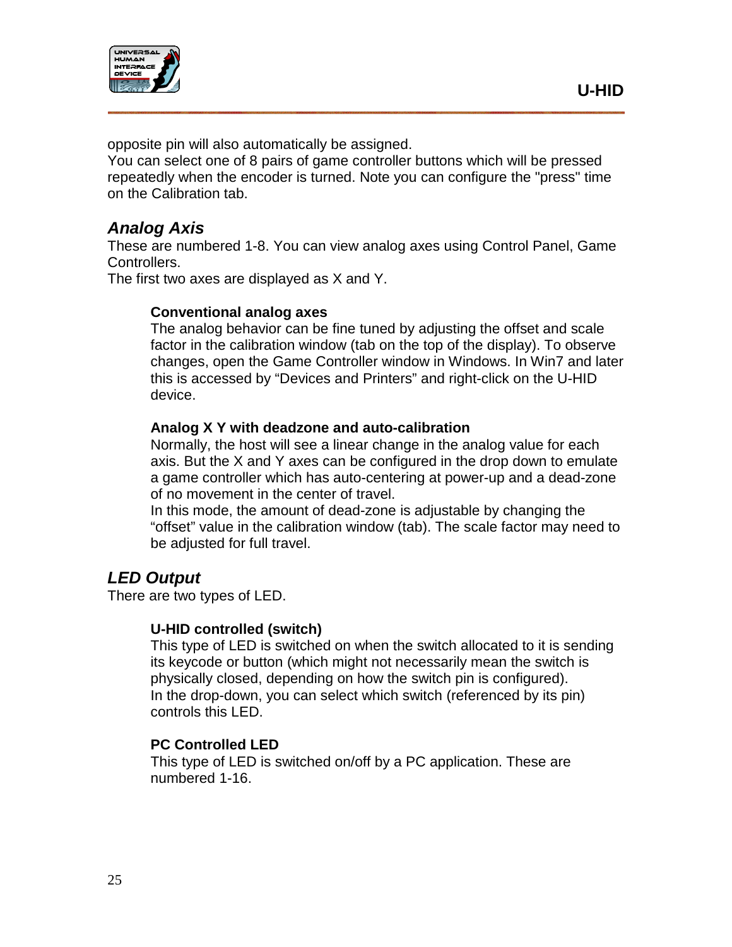

opposite pin will also automatically be assigned.

You can select one of 8 pairs of game controller buttons which will be pressed repeatedly when the encoder is turned. Note you can configure the "press" time on the Calibration tab.

## *Analog Axis*

These are numbered 1-8. You can view analog axes using Control Panel, Game Controllers.

The first two axes are displayed as X and Y.

#### **Conventional analog axes**

The analog behavior can be fine tuned by adjusting the offset and scale factor in the calibration window (tab on the top of the display). To observe changes, open the Game Controller window in Windows. In Win7 and later this is accessed by "Devices and Printers" and right-click on the U-HID device.

#### **Analog X Y with deadzone and auto-calibration**

Normally, the host will see a linear change in the analog value for each axis. But the X and Y axes can be configured in the drop down to emulate a game controller which has auto-centering at power-up and a dead-zone of no movement in the center of travel.

In this mode, the amount of dead-zone is adjustable by changing the "offset" value in the calibration window (tab). The scale factor may need to be adjusted for full travel.

## *LED Output*

There are two types of LED.

#### **U-HID controlled (switch)**

This type of LED is switched on when the switch allocated to it is sending its keycode or button (which might not necessarily mean the switch is physically closed, depending on how the switch pin is configured). In the drop-down, you can select which switch (referenced by its pin) controls this LED.

#### **PC Controlled LED**

This type of LED is switched on/off by a PC application. These are numbered 1-16.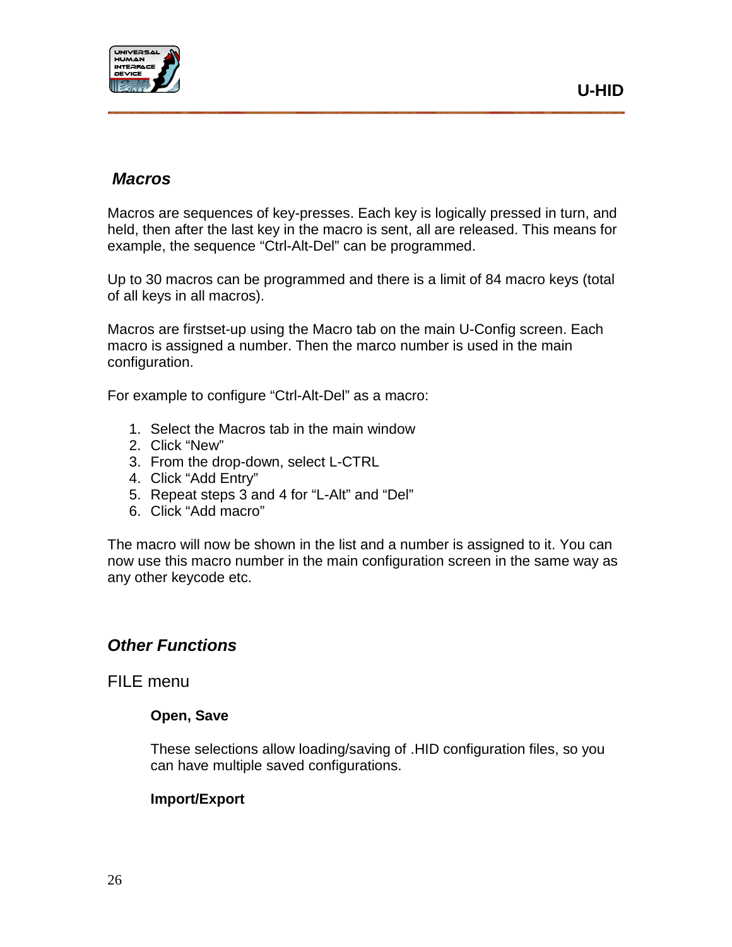

### *Macros*

Macros are sequences of key-presses. Each key is logically pressed in turn, and held, then after the last key in the macro is sent, all are released. This means for example, the sequence "Ctrl-Alt-Del" can be programmed.

Up to 30 macros can be programmed and there is a limit of 84 macro keys (total of all keys in all macros).

Macros are firstset-up using the Macro tab on the main U-Config screen. Each macro is assigned a number. Then the marco number is used in the main configuration.

For example to configure "Ctrl-Alt-Del" as a macro:

- 1. Select the Macros tab in the main window
- 2. Click "New"
- 3. From the drop-down, select L-CTRL
- 4. Click "Add Entry"
- 5. Repeat steps 3 and 4 for "L-Alt" and "Del"
- 6. Click "Add macro"

The macro will now be shown in the list and a number is assigned to it. You can now use this macro number in the main configuration screen in the same way as any other keycode etc.

#### *Other Functions*

FILE menu

#### **Open, Save**

These selections allow loading/saving of .HID configuration files, so you can have multiple saved configurations.

#### **Import/Export**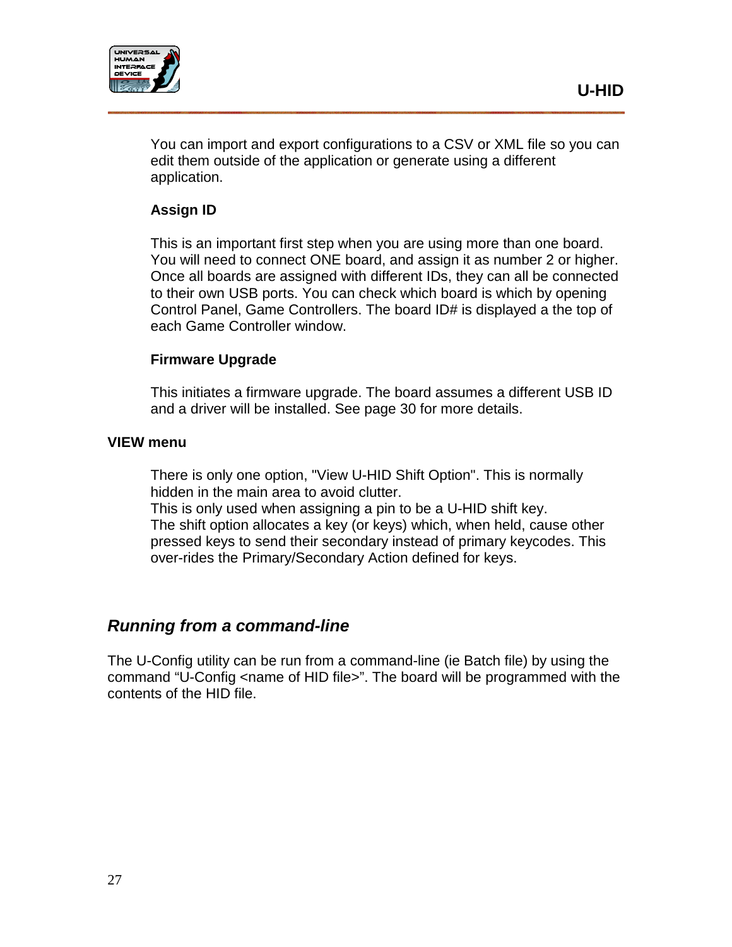

You can import and export configurations to a CSV or XML file so you can edit them outside of the application or generate using a different application.

#### **Assign ID**

This is an important first step when you are using more than one board. You will need to connect ONE board, and assign it as number 2 or higher. Once all boards are assigned with different IDs, they can all be connected to their own USB ports. You can check which board is which by opening Control Panel, Game Controllers. The board ID# is displayed a the top of each Game Controller window.

#### **Firmware Upgrade**

This initiates a firmware upgrade. The board assumes a different USB ID and a driver will be installed. See page 30 for more details.

#### **VIEW menu**

There is only one option, "View U-HID Shift Option". This is normally hidden in the main area to avoid clutter.

This is only used when assigning a pin to be a U-HID shift key. The shift option allocates a key (or keys) which, when held, cause other pressed keys to send their secondary instead of primary keycodes. This over-rides the Primary/Secondary Action defined for keys.

## *Running from a command-line*

The U-Config utility can be run from a command-line (ie Batch file) by using the command "U-Config <name of HID file>". The board will be programmed with the contents of the HID file.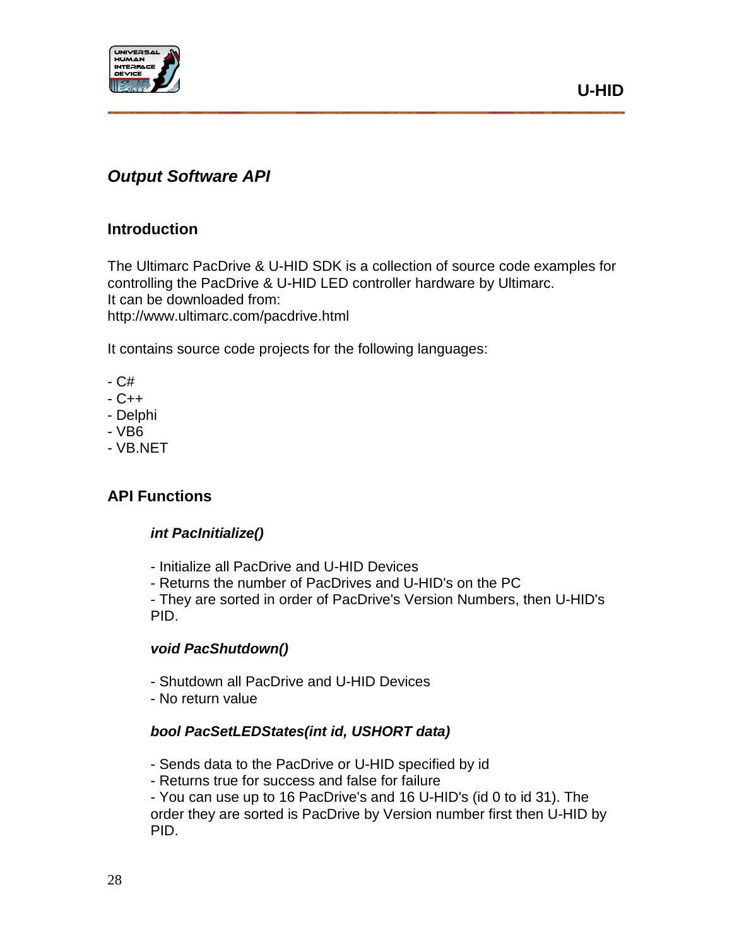

## <span id="page-27-0"></span>*Output Software API*

#### **Introduction**

The Ultimarc PacDrive & U-HID SDK is a collection of source code examples for controlling the PacDrive & U-HID LED controller hardware by Ultimarc. It can be downloaded from: http://www.ultimarc.com/pacdrive.html

It contains source code projects for the following languages:

- C#
- C++
- Delphi
- VB6
- VB.NET

#### **API Functions**

#### *int PacInitialize()*

- Initialize all PacDrive and U-HID Devices
- Returns the number of PacDrives and U-HID's on the PC

- They are sorted in order of PacDrive's Version Numbers, then U-HID's PID.

#### *void PacShutdown()*

- Shutdown all PacDrive and U-HID Devices
- No return value

#### *bool PacSetLEDStates(int id, USHORT data)*

- Sends data to the PacDrive or U-HID specified by id
- Returns true for success and false for failure

- You can use up to 16 PacDrive's and 16 U-HID's (id 0 to id 31). The order they are sorted is PacDrive by Version number first then U-HID by PID.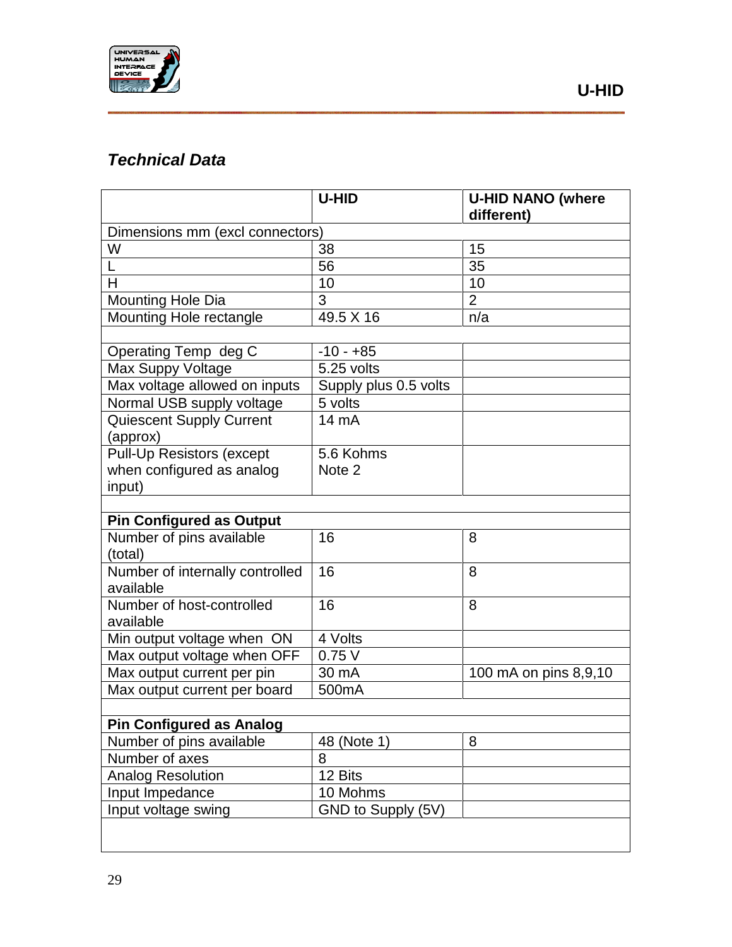

## <span id="page-28-0"></span>*Technical Data*

|                                 | U-HID                 | <b>U-HID NANO (where</b> |  |  |
|---------------------------------|-----------------------|--------------------------|--|--|
|                                 |                       | different)               |  |  |
| Dimensions mm (excl connectors) |                       |                          |  |  |
| W                               | 38                    | 15                       |  |  |
| L                               | 56                    | 35                       |  |  |
| H                               | 10                    | 10                       |  |  |
| Mounting Hole Dia               | 3                     | $\overline{2}$           |  |  |
| Mounting Hole rectangle         | 49.5 X 16             | n/a                      |  |  |
|                                 |                       |                          |  |  |
| Operating Temp deg C            | $-10 - +85$           |                          |  |  |
| Max Suppy Voltage               | 5.25 volts            |                          |  |  |
| Max voltage allowed on inputs   | Supply plus 0.5 volts |                          |  |  |
| Normal USB supply voltage       | 5 volts               |                          |  |  |
| <b>Quiescent Supply Current</b> | 14 mA                 |                          |  |  |
| (approx)                        |                       |                          |  |  |
| Pull-Up Resistors (except       | 5.6 Kohms             |                          |  |  |
| when configured as analog       | Note 2                |                          |  |  |
| input)                          |                       |                          |  |  |
|                                 |                       |                          |  |  |
| <b>Pin Configured as Output</b> |                       |                          |  |  |
| Number of pins available        | 16                    | 8                        |  |  |
| (total)                         |                       |                          |  |  |
| Number of internally controlled | 16                    | 8                        |  |  |
| available                       |                       |                          |  |  |
| Number of host-controlled       | 16                    | 8                        |  |  |
| available                       |                       |                          |  |  |
| Min output voltage when ON      | 4 Volts               |                          |  |  |
| Max output voltage when OFF     | 0.75V                 |                          |  |  |
| Max output current per pin      | 30 mA                 | 100 mA on pins 8,9,10    |  |  |
| Max output current per board    | 500mA                 |                          |  |  |
|                                 |                       |                          |  |  |
| <b>Pin Configured as Analog</b> |                       |                          |  |  |
| Number of pins available        | 48 (Note 1)           | 8                        |  |  |
| Number of axes                  | 8                     |                          |  |  |
| <b>Analog Resolution</b>        | 12 Bits               |                          |  |  |
| Input Impedance                 | 10 Mohms              |                          |  |  |
| Input voltage swing             | GND to Supply (5V)    |                          |  |  |
|                                 |                       |                          |  |  |
|                                 |                       |                          |  |  |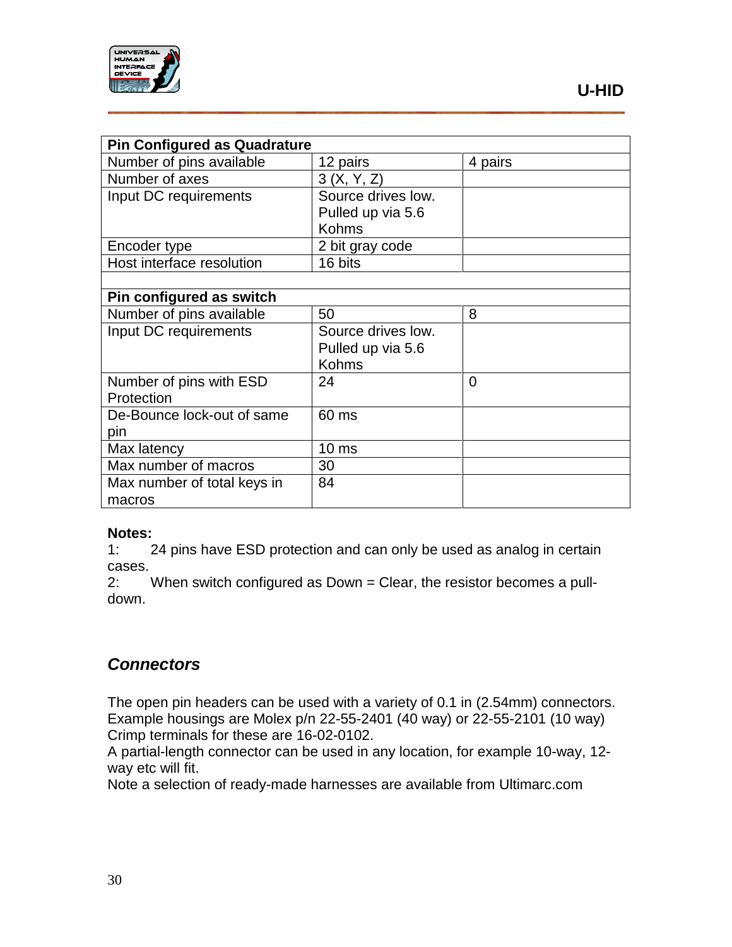

| <b>Pin Configured as Quadrature</b> |                    |                |
|-------------------------------------|--------------------|----------------|
| Number of pins available            | 12 pairs           | 4 pairs        |
| Number of axes                      | 3(X, Y, Z)         |                |
| Input DC requirements               | Source drives low. |                |
|                                     | Pulled up via 5.6  |                |
|                                     | <b>Kohms</b>       |                |
| Encoder type                        | 2 bit gray code    |                |
| Host interface resolution           | 16 bits            |                |
|                                     |                    |                |
| Pin configured as switch            |                    |                |
| Number of pins available            | 50                 | 8              |
| Input DC requirements               | Source drives low. |                |
|                                     | Pulled up via 5.6  |                |
|                                     | <b>Kohms</b>       |                |
| Number of pins with ESD             | 24                 | $\overline{0}$ |
| Protection                          |                    |                |
| De-Bounce lock-out of same          | 60 ms              |                |
| pin                                 |                    |                |
| Max latency                         | 10 <sub>ms</sub>   |                |
| Max number of macros                | 30                 |                |
| Max number of total keys in         | 84                 |                |
| macros                              |                    |                |

# **Notes:**<br>1:

24 pins have ESD protection and can only be used as analog in certain cases.

2: When switch configured as Down = Clear, the resistor becomes a pulldown.

## <span id="page-29-0"></span>*Connectors*

The open pin headers can be used with a variety of 0.1 in (2.54mm) connectors. Example housings are Molex p/n 22-55-2401 (40 way) or 22-55-2101 (10 way) Crimp terminals for these are 16-02-0102.

A partial-length connector can be used in any location, for example 10-way, 12 way etc will fit.

Note a selection of ready-made harnesses are available from Ultimarc.com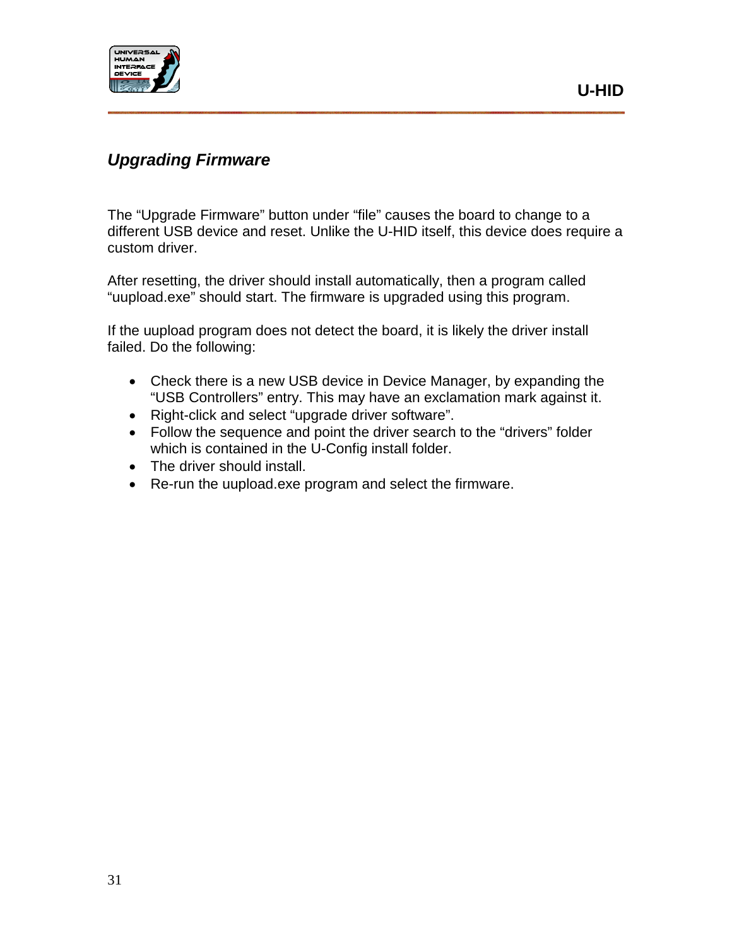

## *Upgrading Firmware*

The "Upgrade Firmware" button under "file" causes the board to change to a different USB device and reset. Unlike the U-HID itself, this device does require a custom driver.

After resetting, the driver should install automatically, then a program called "uupload.exe" should start. The firmware is upgraded using this program.

If the uupload program does not detect the board, it is likely the driver install failed. Do the following:

- Check there is a new USB device in Device Manager, by expanding the "USB Controllers" entry. This may have an exclamation mark against it.
- Right-click and select "upgrade driver software".
- Follow the sequence and point the driver search to the "drivers" folder which is contained in the U-Config install folder.
- The driver should install.
- Re-run the uupload.exe program and select the firmware.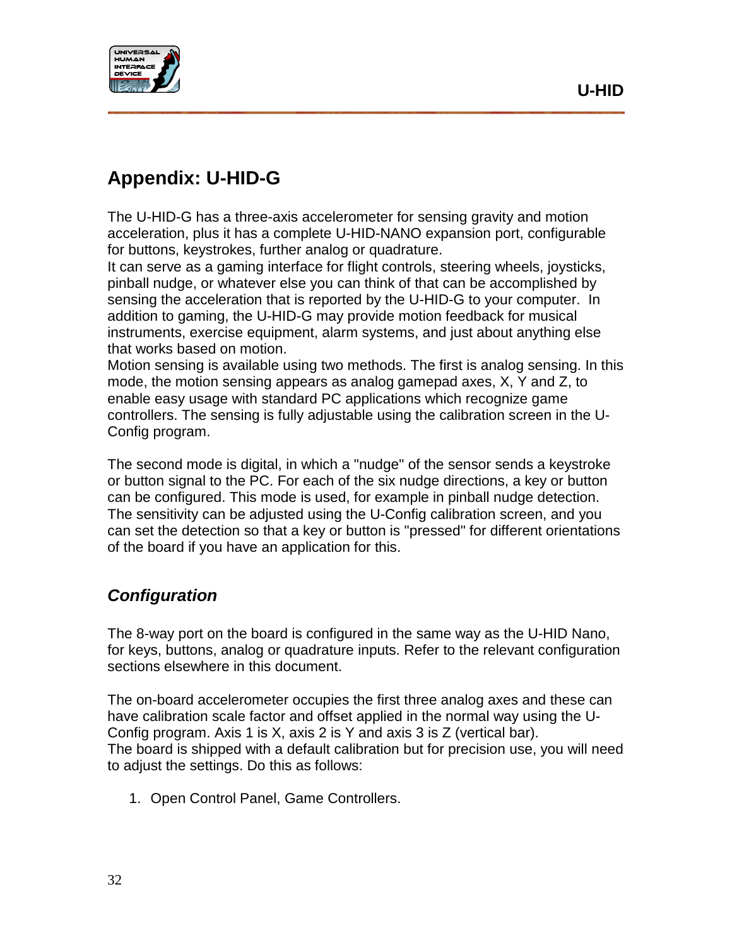

## <span id="page-31-0"></span>**Appendix: U-HID-G**

The U-HID-G has a three-axis accelerometer for sensing gravity and motion acceleration, plus it has a complete U-HID-NANO expansion port, configurable for buttons, keystrokes, further analog or quadrature.

It can serve as a gaming interface for flight controls, steering wheels, joysticks, pinball nudge, or whatever else you can think of that can be accomplished by sensing the acceleration that is reported by the U-HID-G to your computer. In addition to gaming, the U-HID-G may provide motion feedback for musical instruments, exercise equipment, alarm systems, and just about anything else that works based on motion.

Motion sensing is available using two methods. The first is analog sensing. In this mode, the motion sensing appears as analog gamepad axes, X, Y and Z, to enable easy usage with standard PC applications which recognize game controllers. The sensing is fully adjustable using the calibration screen in the U-Config program.

The second mode is digital, in which a "nudge" of the sensor sends a keystroke or button signal to the PC. For each of the six nudge directions, a key or button can be configured. This mode is used, for example in pinball nudge detection. The sensitivity can be adjusted using the U-Config calibration screen, and you can set the detection so that a key or button is "pressed" for different orientations of the board if you have an application for this.

## *Configuration*

The 8-way port on the board is configured in the same way as the U-HID Nano, for keys, buttons, analog or quadrature inputs. Refer to the relevant configuration sections elsewhere in this document.

The on-board accelerometer occupies the first three analog axes and these can have calibration scale factor and offset applied in the normal way using the U-Config program. Axis 1 is X, axis 2 is Y and axis 3 is Z (vertical bar). The board is shipped with a default calibration but for precision use, you will need to adjust the settings. Do this as follows:

1. Open Control Panel, Game Controllers.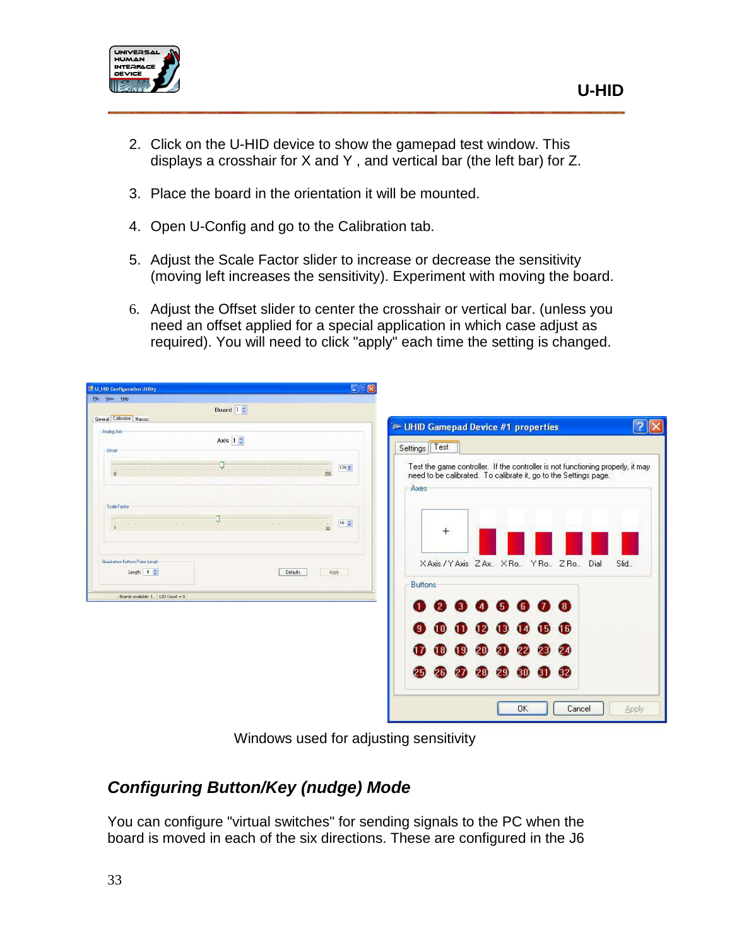

- 2. Click on the U-HID device to show the gamepad test window. This displays a crosshair for X and Y , and vertical bar (the left bar) for Z.
- 3. Place the board in the orientation it will be mounted.
- 4. Open U-Config and go to the Calibration tab.
- 5. Adjust the Scale Factor slider to increase or decrease the sensitivity (moving left increases the sensitivity). Experiment with moving the board.
- 6. Adjust the Offset slider to center the crosshair or vertical bar. (unless you need an offset applied for a special application in which case adjust as required). You will need to click "apply" each time the setting is changed.

| CEX<br>■ U_HID Configuration Utility                                                                        |                                                                                 |
|-------------------------------------------------------------------------------------------------------------|---------------------------------------------------------------------------------|
| Ele Vew Help                                                                                                |                                                                                 |
| Board $1 \div$                                                                                              |                                                                                 |
| General Calbration Macros                                                                                   | - UHID Gamepad Device #1 properties                                             |
| Analog Axis<br>Axis $12$                                                                                    |                                                                                 |
| Officet                                                                                                     | Settings Test                                                                   |
|                                                                                                             | Test the game controller. If the controller is not functioning properly, it may |
| $128 -$<br>.<br>25                                                                                          | need to be calibrated. To calibrate it, go to the Settings page.                |
|                                                                                                             | Axes                                                                            |
|                                                                                                             |                                                                                 |
| Scale Factor                                                                                                |                                                                                 |
| $16\frac{6}{36}$<br>and some the the television and that the television and the television to $\frac{1}{2}$ |                                                                                 |
|                                                                                                             | $+$                                                                             |
|                                                                                                             |                                                                                 |
| Quadrature Buttons Pulse Lengh                                                                              | XAxis / YAxis ZAx., XRo., YRo., ZRo.,<br>Dial<br>Slid.                          |
| Length $4 \frac{1}{2}$<br>Defaults<br>Apply                                                                 |                                                                                 |
|                                                                                                             | <b>Buttons</b>                                                                  |
| Boards available: 1. LED Count = 0                                                                          | 00000000                                                                        |
|                                                                                                             |                                                                                 |
|                                                                                                             | 16<br>$(3)$ $(4)$<br>$\overline{15}$<br>$\mathbf{12}$<br>10                     |
|                                                                                                             |                                                                                 |
|                                                                                                             | $(9)$ $(20)$<br>24<br>$\blacksquare$<br>21<br>22<br>23                          |
|                                                                                                             |                                                                                 |
|                                                                                                             | $\left  \frac{32}{2} \right $<br>25<br>29 30 31<br>28<br>26                     |
|                                                                                                             |                                                                                 |
|                                                                                                             |                                                                                 |
|                                                                                                             | <b>OK</b><br>Cancel<br>Apply.                                                   |

Windows used for adjusting sensitivity

## *Configuring Button/Key (nudge) Mode*

You can configure "virtual switches" for sending signals to the PC when the board is moved in each of the six directions. These are configured in the J6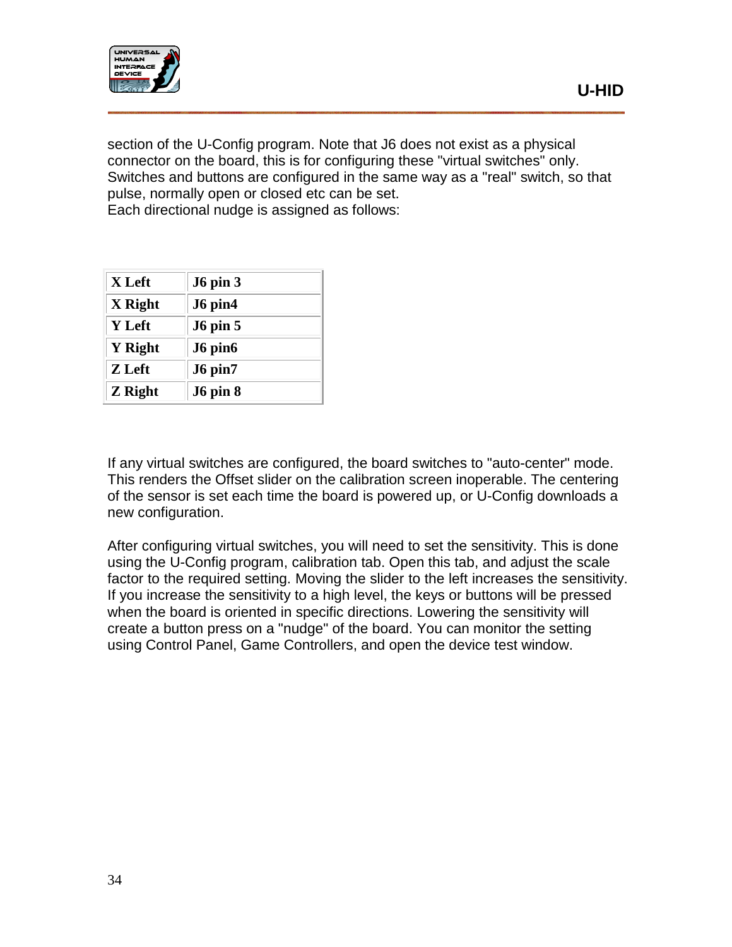

section of the U-Config program. Note that J6 does not exist as a physical connector on the board, this is for configuring these "virtual switches" only. Switches and buttons are configured in the same way as a "real" switch, so that pulse, normally open or closed etc can be set. Each directional nudge is assigned as follows:

**X Left J6 pin 3 X Right J6 pin4 Y Left J6 pin 5 Y Right J6 pin6 Z Left J6 pin7**

**Z Right J6 pin 8**

If any virtual switches are configured, the board switches to "auto-center" mode. This renders the Offset slider on the calibration screen inoperable. The centering of the sensor is set each time the board is powered up, or U-Config downloads a new configuration.

After configuring virtual switches, you will need to set the sensitivity. This is done using the U-Config program, calibration tab. Open this tab, and adjust the scale factor to the required setting. Moving the slider to the left increases the sensitivity. If you increase the sensitivity to a high level, the keys or buttons will be pressed when the board is oriented in specific directions. Lowering the sensitivity will create a button press on a "nudge" of the board. You can monitor the setting using Control Panel, Game Controllers, and open the device test window.